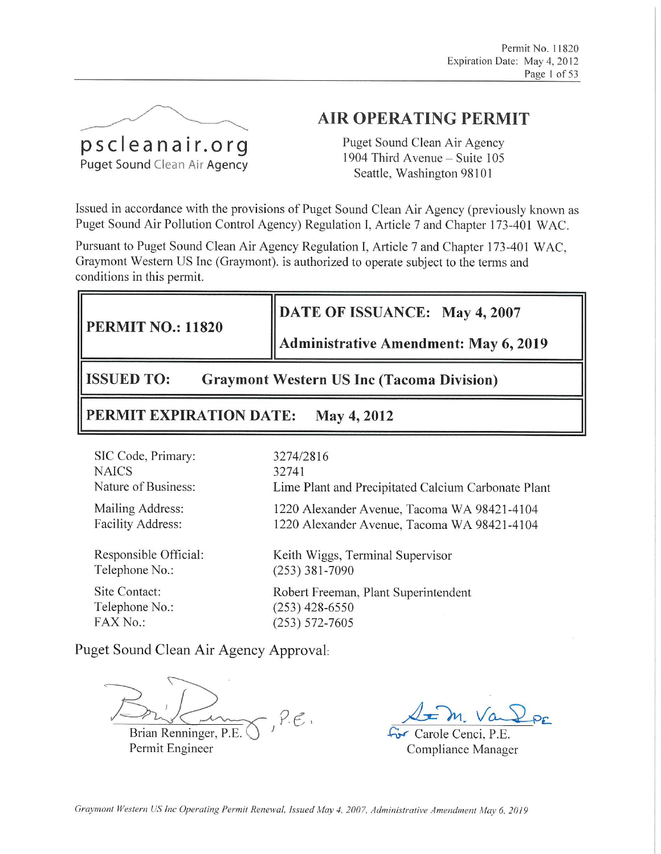

# **AIR OPERATING PERMIT**

Puget Sound Clean Air Agency 1904 Third Avenue - Suite 105 Seattle, Washington 98101

Issued in accordance with the provisions of Puget Sound Clean Air Agency (previously known as Puget Sound Air Pollution Control Agency) Regulation I, Article 7 and Chapter 173-401 WAC.

Pursuant to Puget Sound Clean Air Agency Regulation I, Article 7 and Chapter 173-401 WAC, Graymont Western US Inc (Graymont). is authorized to operate subject to the terms and conditions in this permit.

# DATE OF ISSUANCE: May 4, 2007

**PERMIT NO.: 11820** 

### **Administrative Amendment: May 6, 2019**

**ISSUED TO:** 

**Graymont Western US Inc (Tacoma Division)** 

#### PERMIT EXPIRATION DATE: May 4, 2012

| SIC Code, Primary:       | 3274/2816                                           |
|--------------------------|-----------------------------------------------------|
| <b>NAICS</b>             | 32.741                                              |
| Nature of Business:      | Lime Plant and Precipitated Calcium Carbonate Plant |
| Mailing Address:         | 1220 Alexander Avenue, Tacoma WA 98421-4104         |
| <b>Facility Address:</b> | 1220 Alexander Avenue, Tacoma WA 98421-4104         |
| Responsible Official:    | Keith Wiggs, Terminal Supervisor                    |
| Telephone No.:           | $(253)$ 381-7090                                    |
| Site Contact:            | Robert Freeman, Plant Superintendent                |
| Telephone No.:           | $(253)$ 428-6550                                    |
| FAX No.:                 | $(253) 572 - 7605$                                  |

Puget Sound Clean Air Agency Approval:

 $P.E.$ 

Brian Renninger, P.E. Permit Engineer

Carole Cenci, P.E. Compliance Manager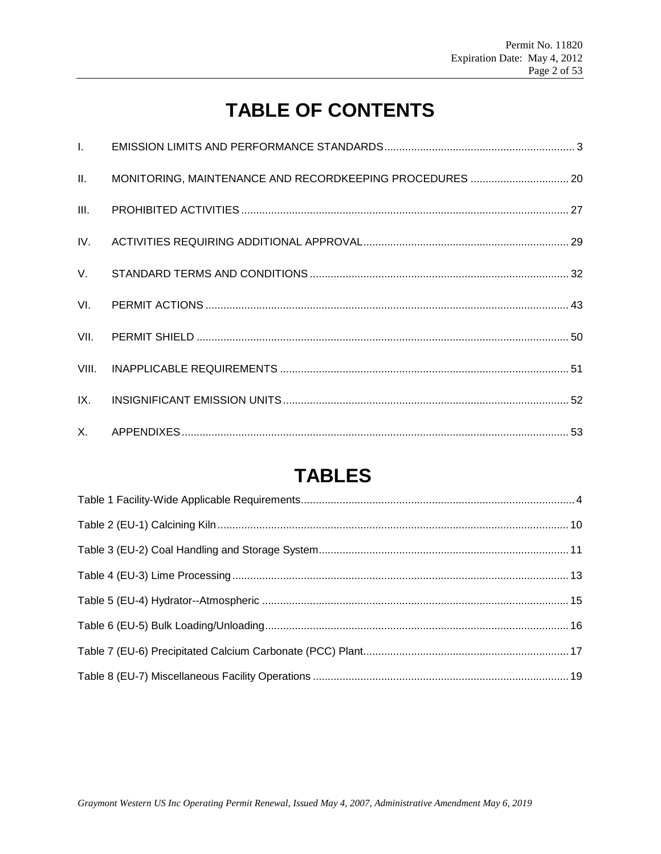# **TABLE OF CONTENTS**

| II.   |  |
|-------|--|
|       |  |
|       |  |
|       |  |
|       |  |
|       |  |
| VIII. |  |
| IX.   |  |
|       |  |

# **TABLES**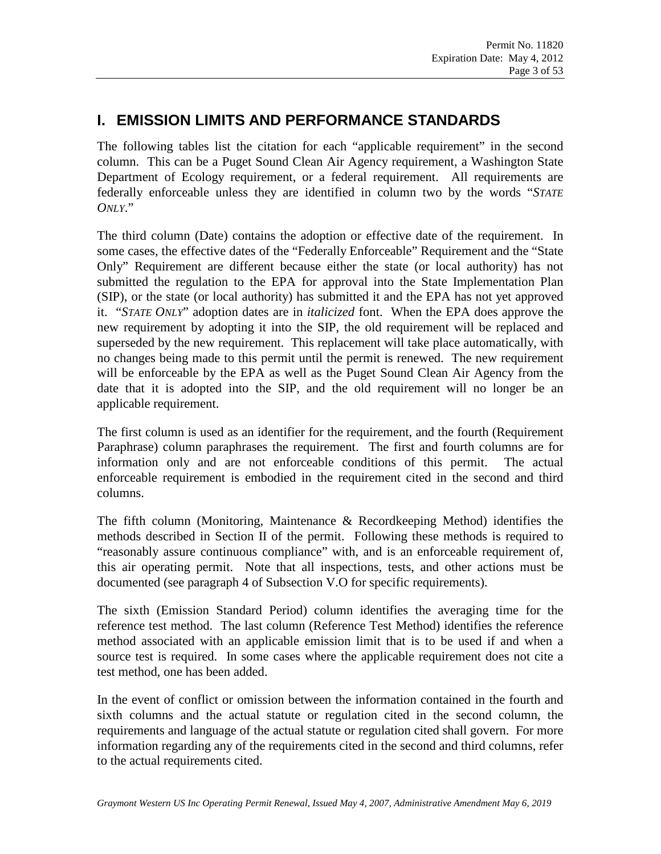# **I. EMISSION LIMITS AND PERFORMANCE STANDARDS**

The following tables list the citation for each "applicable requirement" in the second column. This can be a Puget Sound Clean Air Agency requirement, a Washington State Department of Ecology requirement, or a federal requirement. All requirements are federally enforceable unless they are identified in column two by the words "*STATE ONLY*."

The third column (Date) contains the adoption or effective date of the requirement. In some cases, the effective dates of the "Federally Enforceable" Requirement and the "State Only" Requirement are different because either the state (or local authority) has not submitted the regulation to the EPA for approval into the State Implementation Plan (SIP), or the state (or local authority) has submitted it and the EPA has not yet approved it. "*STATE ONLY*" adoption dates are in *italicized* font. When the EPA does approve the new requirement by adopting it into the SIP, the old requirement will be replaced and superseded by the new requirement. This replacement will take place automatically, with no changes being made to this permit until the permit is renewed. The new requirement will be enforceable by the EPA as well as the Puget Sound Clean Air Agency from the date that it is adopted into the SIP, and the old requirement will no longer be an applicable requirement.

The first column is used as an identifier for the requirement, and the fourth (Requirement Paraphrase) column paraphrases the requirement. The first and fourth columns are for information only and are not enforceable conditions of this permit. The actual enforceable requirement is embodied in the requirement cited in the second and third columns.

The fifth column (Monitoring, Maintenance & Recordkeeping Method) identifies the methods described in Section II of the permit. Following these methods is required to "reasonably assure continuous compliance" with, and is an enforceable requirement of, this air operating permit. Note that all inspections, tests, and other actions must be documented (see paragraph 4 of Subsection V.O for specific requirements).

The sixth (Emission Standard Period) column identifies the averaging time for the reference test method. The last column (Reference Test Method) identifies the reference method associated with an applicable emission limit that is to be used if and when a source test is required. In some cases where the applicable requirement does not cite a test method, one has been added.

In the event of conflict or omission between the information contained in the fourth and sixth columns and the actual statute or regulation cited in the second column, the requirements and language of the actual statute or regulation cited shall govern. For more information regarding any of the requirements cited in the second and third columns, refer to the actual requirements cited.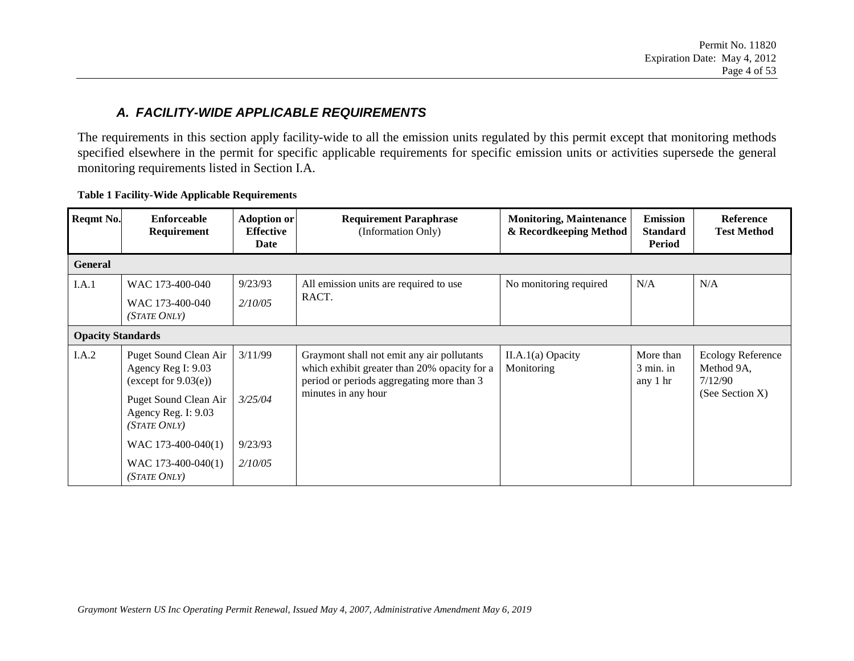#### *A. FACILITY-WIDE APPLICABLE REQUIREMENTS*

The requirements in this section apply facility-wide to all the emission units regulated by this permit except that monitoring methods specified elsewhere in the permit for specific applicable requirements for specific emission units or activities supersede the general monitoring requirements listed in Section I.A.

<span id="page-3-0"></span>

| Reqmt No.                | <b>Enforceable</b><br>Requirement                                                               | <b>Adoption or</b><br><b>Effective</b><br>Date | <b>Requirement Paraphrase</b><br>(Information Only)                                                                                                            | <b>Monitoring, Maintenance</b><br>& Recordkeeping Method | <b>Emission</b><br><b>Standard</b><br><b>Period</b> | <b>Reference</b><br><b>Test Method</b>                               |
|--------------------------|-------------------------------------------------------------------------------------------------|------------------------------------------------|----------------------------------------------------------------------------------------------------------------------------------------------------------------|----------------------------------------------------------|-----------------------------------------------------|----------------------------------------------------------------------|
| <b>General</b>           |                                                                                                 |                                                |                                                                                                                                                                |                                                          |                                                     |                                                                      |
| I.A.1                    | WAC 173-400-040<br>WAC 173-400-040<br>(STATE ONLY)                                              | 9/23/93<br>2/10/05                             | All emission units are required to use<br>RACT.                                                                                                                | No monitoring required                                   | N/A                                                 | N/A                                                                  |
| <b>Opacity Standards</b> |                                                                                                 |                                                |                                                                                                                                                                |                                                          |                                                     |                                                                      |
| I.A.2                    | Puget Sound Clean Air<br>Agency Reg I: 9.03<br>(except for $9.03(e)$ )<br>Puget Sound Clean Air | 3/11/99<br>3/25/04                             | Graymont shall not emit any air pollutants<br>which exhibit greater than 20% opacity for a<br>period or periods aggregating more than 3<br>minutes in any hour | $II.A.1(a)$ Opacity<br>Monitoring                        | More than<br>$3 \text{ min.}$ in<br>any 1 hr        | <b>Ecology Reference</b><br>Method 9A,<br>7/12/90<br>(See Section X) |
|                          | Agency Reg. I: 9.03<br>(STATE ONLY)                                                             |                                                |                                                                                                                                                                |                                                          |                                                     |                                                                      |
|                          | WAC $173-400-040(1)$                                                                            | 9/23/93                                        |                                                                                                                                                                |                                                          |                                                     |                                                                      |
|                          | WAC 173-400-040(1)<br><i>(STATE ONLY)</i>                                                       | 2/10/05                                        |                                                                                                                                                                |                                                          |                                                     |                                                                      |

#### **Table 1 Facility-Wide Applicable Requirements**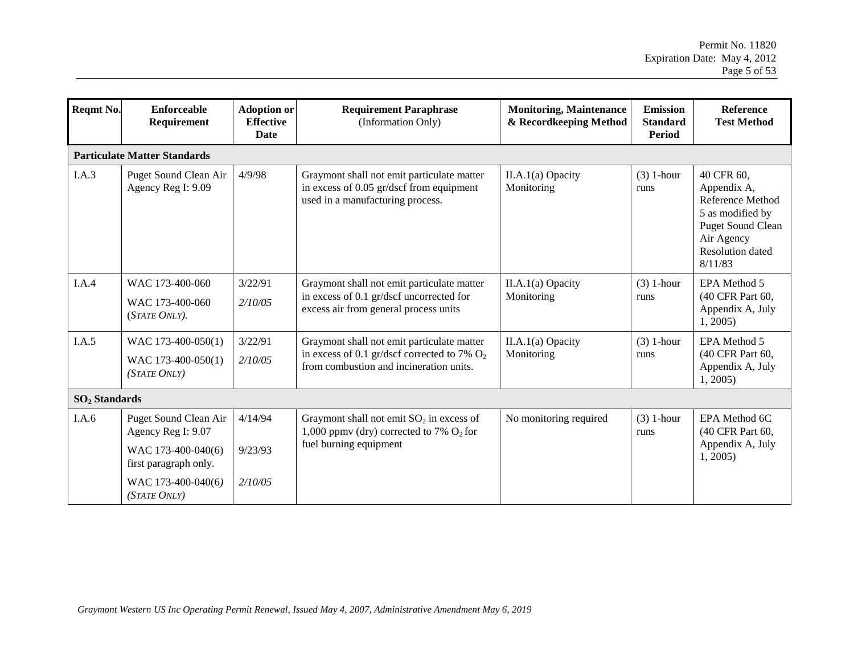| Reqmt No.       | <b>Enforceable</b><br>Requirement                                                          | <b>Adoption or</b><br><b>Effective</b><br><b>Date</b> | <b>Requirement Paraphrase</b><br>(Information Only)                                                                                     | <b>Monitoring, Maintenance</b><br>& Recordkeeping Method | <b>Emission</b><br><b>Standard</b><br><b>Period</b> | <b>Reference</b><br><b>Test Method</b>                                                                                                            |  |  |  |
|-----------------|--------------------------------------------------------------------------------------------|-------------------------------------------------------|-----------------------------------------------------------------------------------------------------------------------------------------|----------------------------------------------------------|-----------------------------------------------------|---------------------------------------------------------------------------------------------------------------------------------------------------|--|--|--|
|                 | <b>Particulate Matter Standards</b>                                                        |                                                       |                                                                                                                                         |                                                          |                                                     |                                                                                                                                                   |  |  |  |
| I.A.3           | Puget Sound Clean Air<br>Agency Reg I: 9.09                                                | 4/9/98                                                | Graymont shall not emit particulate matter<br>in excess of 0.05 gr/dscf from equipment<br>used in a manufacturing process.              | II.A.1(a) Opacity<br>Monitoring                          | $(3)$ 1-hour<br>runs                                | 40 CFR 60,<br>Appendix A,<br>Reference Method<br>5 as modified by<br><b>Puget Sound Clean</b><br>Air Agency<br><b>Resolution</b> dated<br>8/11/83 |  |  |  |
| I.A.4           | WAC 173-400-060<br>WAC 173-400-060<br>(STATE ONLY).                                        | 3/22/91<br>2/10/05                                    | Graymont shall not emit particulate matter<br>in excess of 0.1 gr/dscf uncorrected for<br>excess air from general process units         | II.A.1(a) Opacity<br>Monitoring                          | $(3)$ 1-hour<br>runs                                | EPA Method 5<br>(40 CFR Part 60,<br>Appendix A, July<br>1, 2005                                                                                   |  |  |  |
| I.A.5           | WAC 173-400-050(1)<br>WAC 173-400-050(1)<br>(STATE ONLY)                                   | 3/22/91<br>2/10/05                                    | Graymont shall not emit particulate matter<br>in excess of 0.1 gr/dscf corrected to 7% $O_2$<br>from combustion and incineration units. | II.A.1(a) Opacity<br>Monitoring                          | $(3)$ 1-hour<br>runs                                | EPA Method 5<br>(40 CFR Part 60,<br>Appendix A, July<br>1, 2005                                                                                   |  |  |  |
| $SO2$ Standards |                                                                                            |                                                       |                                                                                                                                         |                                                          |                                                     |                                                                                                                                                   |  |  |  |
| I.A.6           | Puget Sound Clean Air<br>Agency Reg I: 9.07<br>WAC 173-400-040(6)<br>first paragraph only. | 4/14/94<br>9/23/93                                    | Graymont shall not emit $SO_2$ in excess of<br>1,000 ppmv (dry) corrected to 7% $O_2$ for<br>fuel burning equipment                     | No monitoring required                                   | $(3)$ 1-hour<br>runs                                | EPA Method 6C<br>(40 CFR Part 60,<br>Appendix A, July<br>1, 2005                                                                                  |  |  |  |
|                 | WAC 173-400-040(6)<br>(STATE ONLY)                                                         | 2/10/05                                               |                                                                                                                                         |                                                          |                                                     |                                                                                                                                                   |  |  |  |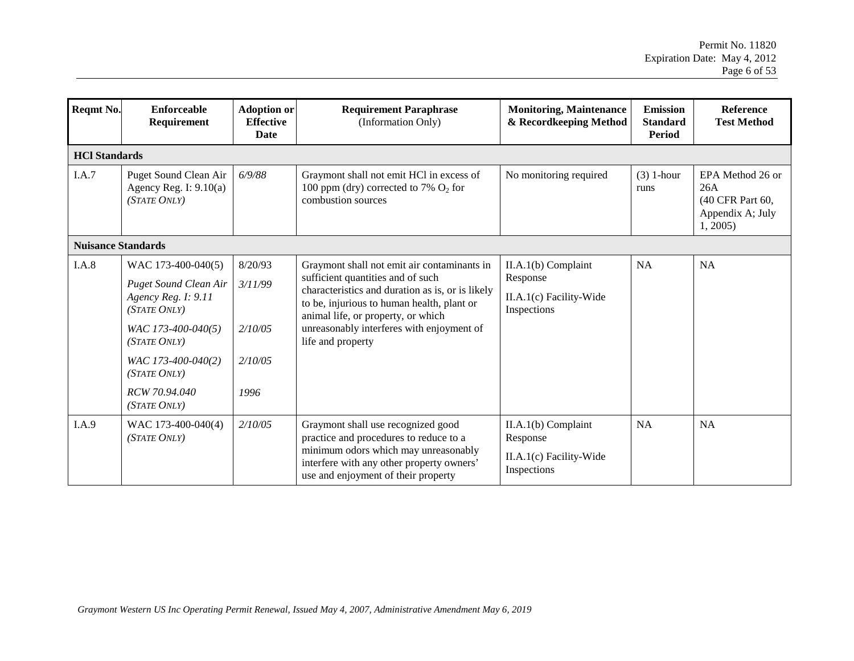| Reqmt No. | <b>Enforceable</b><br>Requirement                                                                                                                                                                      | <b>Adoption or</b><br><b>Effective</b><br><b>Date</b> | <b>Requirement Paraphrase</b><br>(Information Only)                                                                                                                                                                                                                                        | <b>Monitoring, Maintenance</b><br>& Recordkeeping Method                    | <b>Emission</b><br><b>Standard</b><br><b>Period</b> | Reference<br><b>Test Method</b>                                            |  |  |  |
|-----------|--------------------------------------------------------------------------------------------------------------------------------------------------------------------------------------------------------|-------------------------------------------------------|--------------------------------------------------------------------------------------------------------------------------------------------------------------------------------------------------------------------------------------------------------------------------------------------|-----------------------------------------------------------------------------|-----------------------------------------------------|----------------------------------------------------------------------------|--|--|--|
|           | <b>HCl Standards</b>                                                                                                                                                                                   |                                                       |                                                                                                                                                                                                                                                                                            |                                                                             |                                                     |                                                                            |  |  |  |
| I.A.7     | Puget Sound Clean Air<br>Agency Reg. I: $9.10(a)$<br>(STATE ONLY)                                                                                                                                      | 6/9/88                                                | Graymont shall not emit HCl in excess of<br>100 ppm (dry) corrected to 7% $O_2$ for<br>combustion sources                                                                                                                                                                                  | No monitoring required                                                      | $(3)$ 1-hour<br>runs                                | EPA Method 26 or<br>26A<br>(40 CFR Part 60,<br>Appendix A; July<br>1, 2005 |  |  |  |
|           | <b>Nuisance Standards</b>                                                                                                                                                                              |                                                       |                                                                                                                                                                                                                                                                                            |                                                                             |                                                     |                                                                            |  |  |  |
| I.A.8     | WAC 173-400-040(5)<br><b>Puget Sound Clean Air</b><br>Agency Reg. I: 9.11<br>(STATE ONLY)<br>WAC 173-400-040(5)<br>(STATE ONLY)<br>WAC 173-400-040(2)<br>(STATE ONLY)<br>RCW 70.94.040<br>(STATE ONLY) | 8/20/93<br>3/11/99<br>2/10/05<br>2/10/05<br>1996      | Graymont shall not emit air contaminants in<br>sufficient quantities and of such<br>characteristics and duration as is, or is likely<br>to be, injurious to human health, plant or<br>animal life, or property, or which<br>unreasonably interferes with enjoyment of<br>life and property | II.A.1(b) Complaint<br>Response<br>II.A.1(c) Facility-Wide<br>Inspections   | <b>NA</b>                                           | <b>NA</b>                                                                  |  |  |  |
| I.A.9     | WAC 173-400-040(4)<br>(STATE ONLY)                                                                                                                                                                     | 2/10/05                                               | Graymont shall use recognized good<br>practice and procedures to reduce to a<br>minimum odors which may unreasonably<br>interfere with any other property owners'<br>use and enjoyment of their property                                                                                   | $II.A.1(b)$ Complaint<br>Response<br>II.A.1(c) Facility-Wide<br>Inspections | <b>NA</b>                                           | <b>NA</b>                                                                  |  |  |  |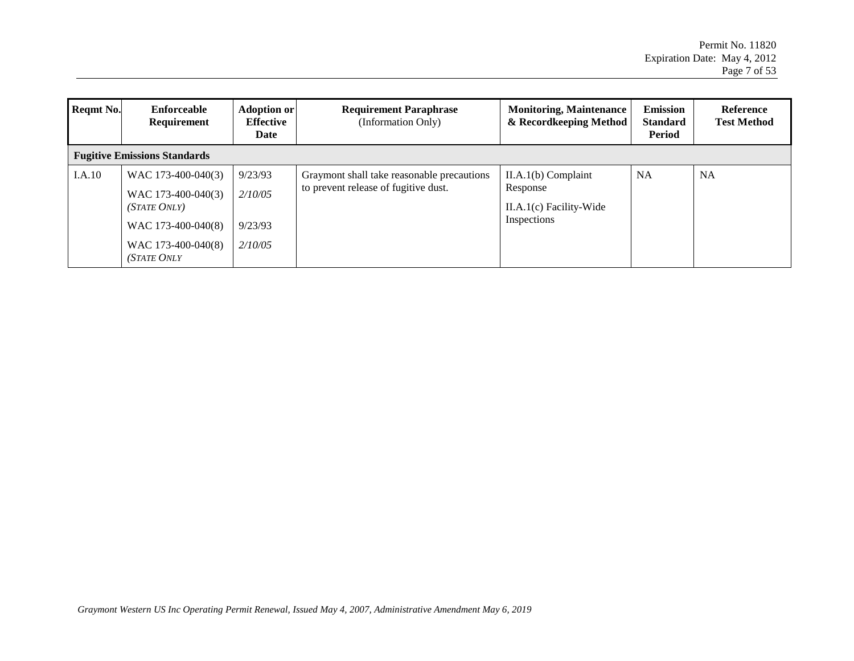| Reqmt No. | Enforceable<br>Requirement                                                                                                 | <b>Adoption or</b><br><b>Effective</b><br>Date | <b>Requirement Paraphrase</b><br>(Information Only)                                | <b>Monitoring, Maintenance</b><br>& Recordkeeping Method                      | <b>Emission</b><br><b>Standard</b><br><b>Period</b> | Reference<br><b>Test Method</b> |
|-----------|----------------------------------------------------------------------------------------------------------------------------|------------------------------------------------|------------------------------------------------------------------------------------|-------------------------------------------------------------------------------|-----------------------------------------------------|---------------------------------|
|           | <b>Fugitive Emissions Standards</b>                                                                                        |                                                |                                                                                    |                                                                               |                                                     |                                 |
| I.A.10    | WAC 173-400-040(3)<br>WAC 173-400-040(3)<br>(STATE ONLY)<br>WAC 173-400-040(8)<br>WAC 173-400-040(8)<br><b>(STATE ONLY</b> | 9/23/93<br>2/10/05<br>9/23/93<br>2/10/05       | Graymont shall take reasonable precautions<br>to prevent release of fugitive dust. | $II.A.1(b)$ Complaint<br>Response<br>$II.A.1(c)$ Facility-Wide<br>Inspections | <b>NA</b>                                           | <b>NA</b>                       |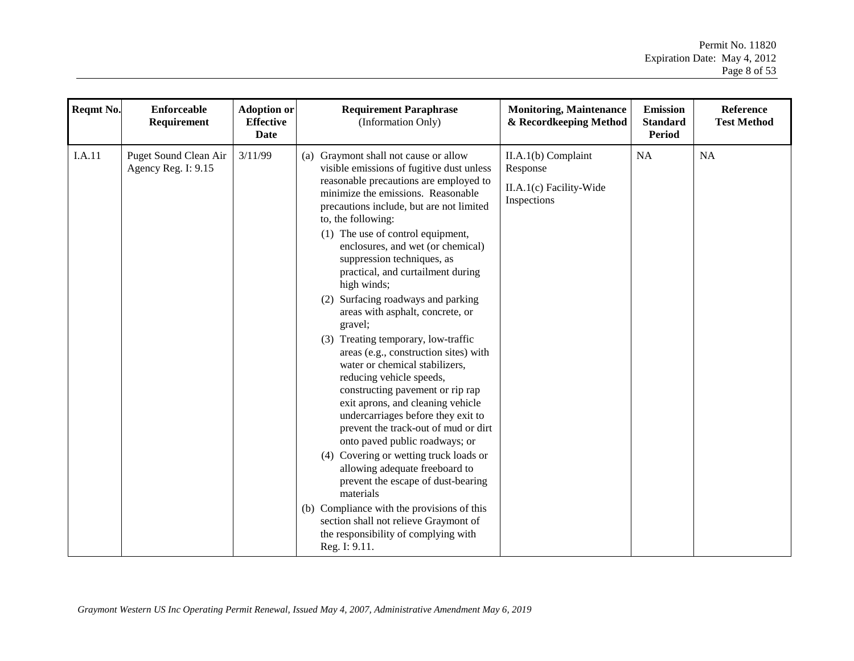| Reqmt No.     | <b>Enforceable</b><br>Requirement            | <b>Adoption or</b><br><b>Effective</b><br>Date | <b>Requirement Paraphrase</b><br>(Information Only)                                                                                                                                                                                                                                                                                                                                                                                                                                                                                                                                                                                                                                                                                                                                                                                                                                                                                                                                                                                                                                                         | <b>Monitoring, Maintenance</b><br>& Recordkeeping Method                  | <b>Emission</b><br><b>Standard</b><br><b>Period</b> | <b>Reference</b><br><b>Test Method</b> |
|---------------|----------------------------------------------|------------------------------------------------|-------------------------------------------------------------------------------------------------------------------------------------------------------------------------------------------------------------------------------------------------------------------------------------------------------------------------------------------------------------------------------------------------------------------------------------------------------------------------------------------------------------------------------------------------------------------------------------------------------------------------------------------------------------------------------------------------------------------------------------------------------------------------------------------------------------------------------------------------------------------------------------------------------------------------------------------------------------------------------------------------------------------------------------------------------------------------------------------------------------|---------------------------------------------------------------------------|-----------------------------------------------------|----------------------------------------|
| <b>I.A.11</b> | Puget Sound Clean Air<br>Agency Reg. I: 9.15 | 3/11/99                                        | (a) Graymont shall not cause or allow<br>visible emissions of fugitive dust unless<br>reasonable precautions are employed to<br>minimize the emissions. Reasonable<br>precautions include, but are not limited<br>to, the following:<br>(1) The use of control equipment,<br>enclosures, and wet (or chemical)<br>suppression techniques, as<br>practical, and curtailment during<br>high winds;<br>(2) Surfacing roadways and parking<br>areas with asphalt, concrete, or<br>gravel;<br>(3) Treating temporary, low-traffic<br>areas (e.g., construction sites) with<br>water or chemical stabilizers,<br>reducing vehicle speeds,<br>constructing pavement or rip rap<br>exit aprons, and cleaning vehicle<br>undercarriages before they exit to<br>prevent the track-out of mud or dirt<br>onto paved public roadways; or<br>(4) Covering or wetting truck loads or<br>allowing adequate freeboard to<br>prevent the escape of dust-bearing<br>materials<br>(b) Compliance with the provisions of this<br>section shall not relieve Graymont of<br>the responsibility of complying with<br>Reg. I: 9.11. | II.A.1(b) Complaint<br>Response<br>II.A.1(c) Facility-Wide<br>Inspections | NA                                                  | NA                                     |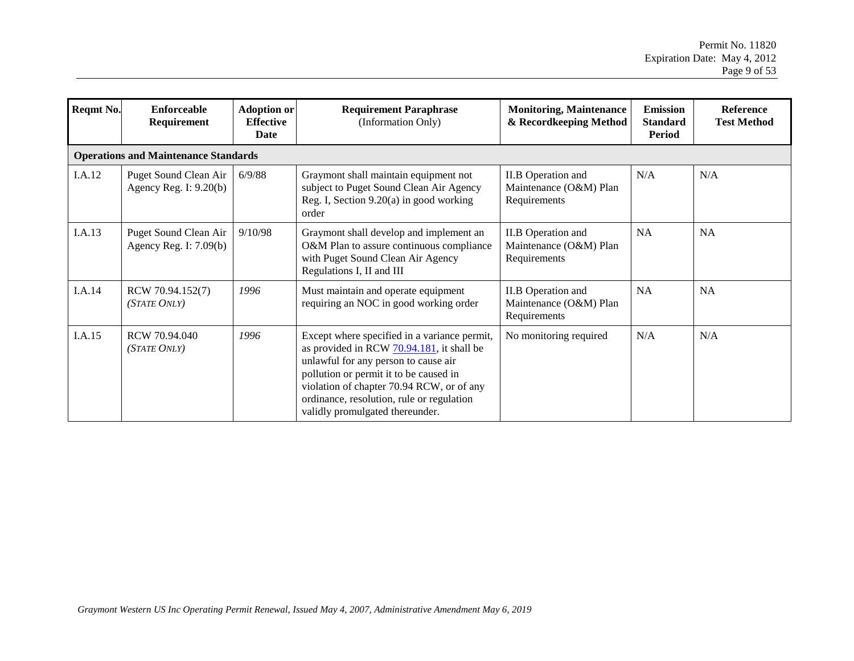| Reqmt No. | <b>Enforceable</b><br>Requirement                 | <b>Adoption or</b><br><b>Effective</b><br>Date | <b>Requirement Paraphrase</b><br>(Information Only)                                                                                                                                                                                                                                                      | <b>Monitoring, Maintenance</b><br>& Recordkeeping Method            | <b>Emission</b><br><b>Standard</b><br>Period | <b>Reference</b><br><b>Test Method</b> |
|-----------|---------------------------------------------------|------------------------------------------------|----------------------------------------------------------------------------------------------------------------------------------------------------------------------------------------------------------------------------------------------------------------------------------------------------------|---------------------------------------------------------------------|----------------------------------------------|----------------------------------------|
|           | <b>Operations and Maintenance Standards</b>       |                                                |                                                                                                                                                                                                                                                                                                          |                                                                     |                                              |                                        |
| I.A.12    | Puget Sound Clean Air<br>Agency Reg. I: $9.20(b)$ | 6/9/88                                         | Graymont shall maintain equipment not<br>subject to Puget Sound Clean Air Agency<br>Reg. I, Section 9.20(a) in good working<br>order                                                                                                                                                                     | <b>II.B</b> Operation and<br>Maintenance (O&M) Plan<br>Requirements | N/A                                          | N/A                                    |
| I.A.13    | Puget Sound Clean Air<br>Agency Reg. I: $7.09(b)$ | 9/10/98                                        | Graymont shall develop and implement an<br>O&M Plan to assure continuous compliance<br>with Puget Sound Clean Air Agency<br>Regulations I, II and III                                                                                                                                                    | II.B Operation and<br>Maintenance (O&M) Plan<br>Requirements        | <b>NA</b>                                    | <b>NA</b>                              |
| I.A.14    | RCW 70.94.152(7)<br>(STATE ONLY)                  | 1996                                           | Must maintain and operate equipment<br>requiring an NOC in good working order                                                                                                                                                                                                                            | II.B Operation and<br>Maintenance (O&M) Plan<br>Requirements        | <b>NA</b>                                    | NA                                     |
| I.A.15    | RCW 70.94.040<br>(STATE ONLY)                     | 1996                                           | Except where specified in a variance permit,<br>as provided in RCW 70.94.181, it shall be<br>unlawful for any person to cause air<br>pollution or permit it to be caused in<br>violation of chapter 70.94 RCW, or of any<br>ordinance, resolution, rule or regulation<br>validly promulgated thereunder. | No monitoring required                                              | N/A                                          | N/A                                    |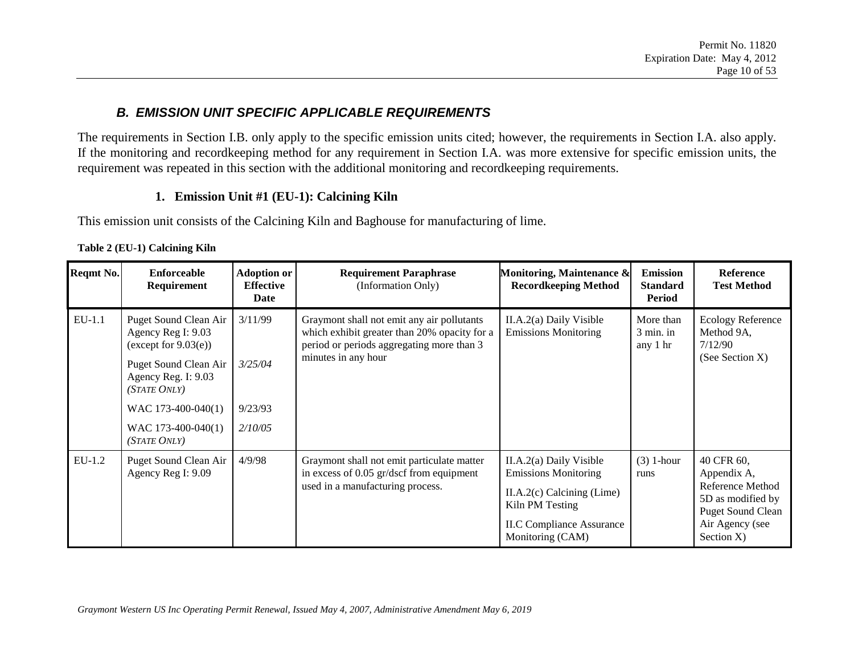### *B. EMISSION UNIT SPECIFIC APPLICABLE REQUIREMENTS*

The requirements in Section I.B. only apply to the specific emission units cited; however, the requirements in Section I.A. also apply. If the monitoring and recordkeeping method for any requirement in Section I.A. was more extensive for specific emission units, the requirement was repeated in this section with the additional monitoring and recordkeeping requirements.

#### **1. Emission Unit #1 (EU-1): Calcining Kiln**

This emission unit consists of the Calcining Kiln and Baghouse for manufacturing of lime.

|  | Table 2 (EU-1) Calcining Kiln |
|--|-------------------------------|
|--|-------------------------------|

<span id="page-9-1"></span><span id="page-9-0"></span>

| <b>Reqmt No.</b> | Enforceable<br>Requirement                                                                                                                                   | Adoption or<br><b>Effective</b><br>Date | <b>Requirement Paraphrase</b><br>(Information Only)                                                                                                            | Monitoring, Maintenance &<br><b>Recordkeeping Method</b>                                                                                                          | <b>Emission</b><br><b>Standard</b><br><b>Period</b> | Reference<br><b>Test Method</b>                                                                                                 |
|------------------|--------------------------------------------------------------------------------------------------------------------------------------------------------------|-----------------------------------------|----------------------------------------------------------------------------------------------------------------------------------------------------------------|-------------------------------------------------------------------------------------------------------------------------------------------------------------------|-----------------------------------------------------|---------------------------------------------------------------------------------------------------------------------------------|
| $EU-1.1$         | Puget Sound Clean Air<br>3/11/99<br>Agency Reg I: 9.03<br>(except for $9.03(e)$ )<br>Puget Sound Clean Air<br>3/25/04<br>Agency Reg. I: 9.03<br>(STATE ONLY) |                                         | Graymont shall not emit any air pollutants<br>which exhibit greater than 20% opacity for a<br>period or periods aggregating more than 3<br>minutes in any hour | More than<br>$II.A.2(a)$ Daily Visible<br><b>Emissions Monitoring</b><br>$3 \text{ min.}$ in<br>any 1 hr                                                          |                                                     | <b>Ecology Reference</b><br>Method 9A,<br>7/12/90<br>(See Section X)                                                            |
|                  |                                                                                                                                                              |                                         |                                                                                                                                                                |                                                                                                                                                                   |                                                     |                                                                                                                                 |
|                  | WAC $173-400-040(1)$                                                                                                                                         | 9/23/93                                 |                                                                                                                                                                |                                                                                                                                                                   |                                                     |                                                                                                                                 |
|                  | WAC 173-400-040(1)<br>(STATE ONLY)                                                                                                                           | 2/10/05                                 |                                                                                                                                                                |                                                                                                                                                                   |                                                     |                                                                                                                                 |
| $EU-1.2$         | Puget Sound Clean Air<br>Agency Reg I: 9.09                                                                                                                  | 4/9/98                                  | Graymont shall not emit particulate matter<br>in excess of 0.05 gr/dscf from equipment<br>used in a manufacturing process.                                     | II.A.2(a) Daily Visible<br><b>Emissions Monitoring</b><br>$II.A.2(c)$ Calcining (Lime)<br>Kiln PM Testing<br><b>II.C Compliance Assurance</b><br>Monitoring (CAM) | $(3)$ 1-hour<br>runs                                | 40 CFR 60,<br>Appendix A,<br>Reference Method<br>5D as modified by<br><b>Puget Sound Clean</b><br>Air Agency (see<br>Section X) |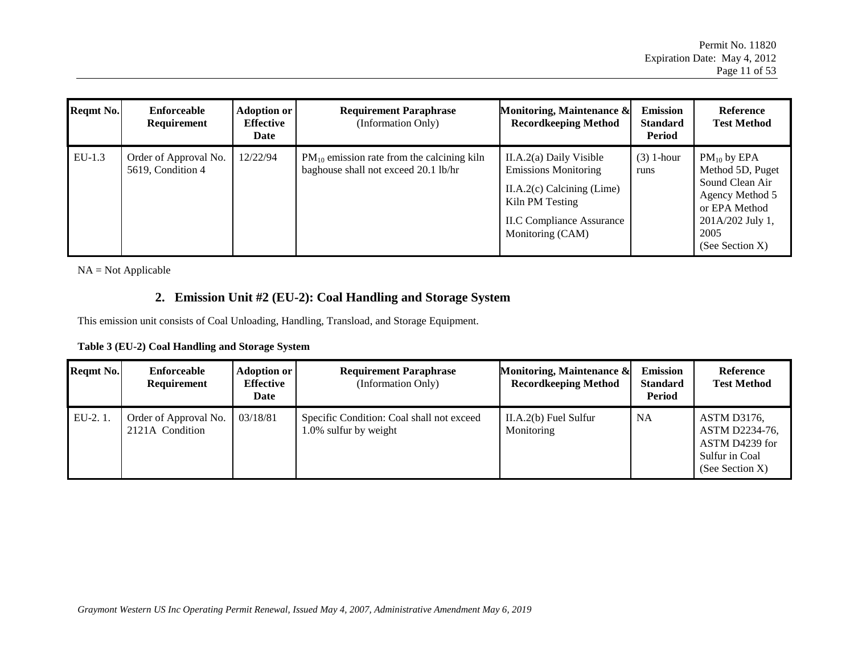| <b>Regmt No.</b> | Enforceable<br>Requirement                 | <b>Adoption or</b><br><b>Effective</b><br>Date | <b>Requirement Paraphrase</b><br>(Information Only)                                     | Monitoring, Maintenance &<br><b>Recordkeeping Method</b>                                                                                                            | <b>Emission</b><br><b>Standard</b><br>Period | Reference<br><b>Test Method</b>                                                                                                            |
|------------------|--------------------------------------------|------------------------------------------------|-----------------------------------------------------------------------------------------|---------------------------------------------------------------------------------------------------------------------------------------------------------------------|----------------------------------------------|--------------------------------------------------------------------------------------------------------------------------------------------|
| $EU-1.3$         | Order of Approval No.<br>5619, Condition 4 | 12/22/94                                       | $PM_{10}$ emission rate from the calcining kiln<br>baghouse shall not exceed 20.1 lb/hr | $II.A.2(a)$ Daily Visible<br><b>Emissions Monitoring</b><br>$II.A.2(c)$ Calcining (Lime)<br>Kiln PM Testing<br><b>II.C Compliance Assurance</b><br>Monitoring (CAM) | $(3)$ 1-hour<br>runs                         | $PM_{10}$ by EPA<br>Method 5D, Puget<br>Sound Clean Air<br>Agency Method 5<br>or EPA Method<br>201A/202 July 1,<br>2005<br>(See Section X) |

NA = Not Applicable

#### **2. Emission Unit #2 (EU-2): Coal Handling and Storage System**

This emission unit consists of Coal Unloading, Handling, Transload, and Storage Equipment.

<span id="page-10-1"></span>

| Table 3 (EU-2) Coal Handling and Storage System |  |  |  |
|-------------------------------------------------|--|--|--|
|                                                 |  |  |  |

<span id="page-10-0"></span>

| Reqmt No. | Enforceable<br>Requirement               | Adoption or<br><b>Effective</b><br>Date | <b>Requirement Paraphrase</b><br>(Information Only)                | Monitoring, Maintenance &<br><b>Recordkeeping Method</b> | <b>Emission</b><br><b>Standard</b><br>Period | Reference<br><b>Test Method</b>                                                      |
|-----------|------------------------------------------|-----------------------------------------|--------------------------------------------------------------------|----------------------------------------------------------|----------------------------------------------|--------------------------------------------------------------------------------------|
| $EU-2.1.$ | Order of Approval No.<br>2121A Condition | 03/18/81                                | Specific Condition: Coal shall not exceed<br>1.0% sulfur by weight | $II.A.2(b)$ Fuel Sulfur<br>Monitoring                    | <b>NA</b>                                    | ASTM D3176,<br>ASTM D2234-76,<br>ASTM D4239 for<br>Sulfur in Coal<br>(See Section X) |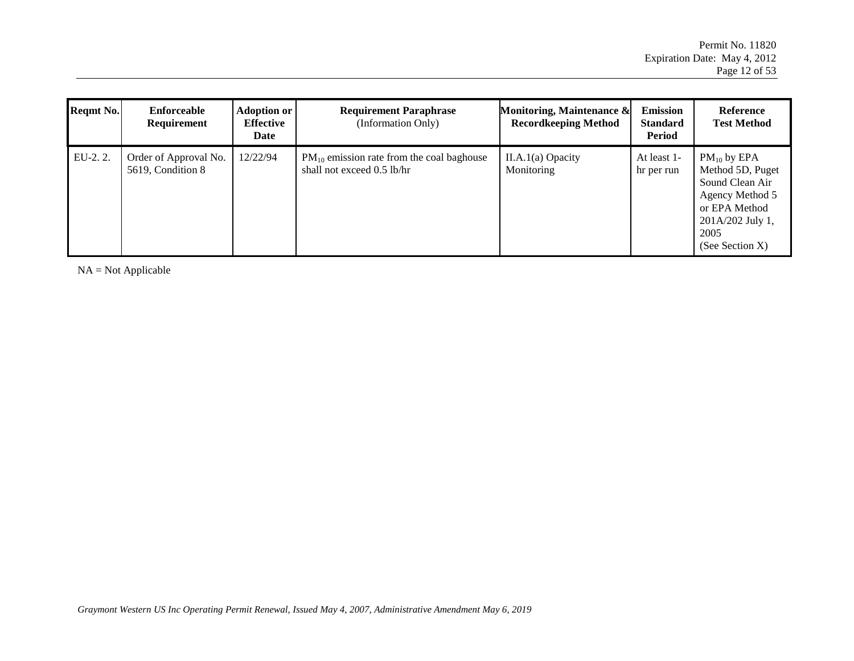| Reqmt No. | Enforceable<br>Requirement                 | Adoption or<br><b>Effective</b><br>Date | <b>Requirement Paraphrase</b><br>(Information Only)                          | Monitoring, Maintenance &<br><b>Recordkeeping Method</b> | <b>Emission</b><br><b>Standard</b><br>Period | Reference<br><b>Test Method</b>                                                                                                            |
|-----------|--------------------------------------------|-----------------------------------------|------------------------------------------------------------------------------|----------------------------------------------------------|----------------------------------------------|--------------------------------------------------------------------------------------------------------------------------------------------|
| EU-2.2.   | Order of Approval No.<br>5619, Condition 8 | 12/22/94                                | $PM_{10}$ emission rate from the coal baghouse<br>shall not exceed 0.5 lb/hr | $II.A.1(a)$ Opacity<br>Monitoring                        | At least 1-<br>hr per run                    | $PM_{10}$ by EPA<br>Method 5D, Puget<br>Sound Clean Air<br>Agency Method 5<br>or EPA Method<br>201A/202 July 1,<br>2005<br>(See Section X) |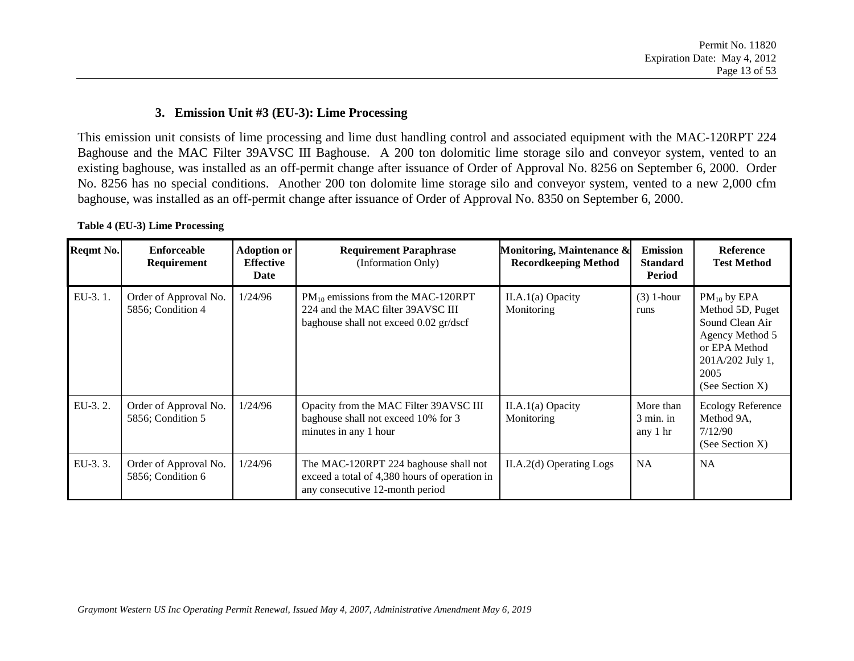#### **3. Emission Unit #3 (EU-3): Lime Processing**

This emission unit consists of lime processing and lime dust handling control and associated equipment with the MAC-120RPT 224 Baghouse and the MAC Filter 39AVSC III Baghouse. A 200 ton dolomitic lime storage silo and conveyor system, vented to an existing baghouse, was installed as an off-permit change after issuance of Order of Approval No. 8256 on September 6, 2000.Order No. 8256 has no special conditions. Another 200 ton dolomite lime storage silo and conveyor system, vented to a new 2,000 cfm baghouse, was installed as an off-permit change after issuance of Order of Approval No. 8350 on September 6, 2000.

<span id="page-12-0"></span>

| Reqmt No. | Enforceable<br>Requirement                 | <b>Adoption or</b><br><b>Effective</b><br>Date | <b>Requirement Paraphrase</b><br>(Information Only)                                                                       | Monitoring, Maintenance &<br><b>Recordkeeping Method</b> | <b>Emission</b><br><b>Standard</b><br>Period | <b>Reference</b><br><b>Test Method</b>                                                                                                     |
|-----------|--------------------------------------------|------------------------------------------------|---------------------------------------------------------------------------------------------------------------------------|----------------------------------------------------------|----------------------------------------------|--------------------------------------------------------------------------------------------------------------------------------------------|
| EU-3.1.   | Order of Approval No.<br>5856; Condition 4 | 1/24/96                                        | $PM_{10}$ emissions from the MAC-120RPT<br>224 and the MAC filter 39AVSC III<br>baghouse shall not exceed 0.02 gr/dscf    | $II.A.1(a)$ Opacity<br>Monitoring                        | $(3)$ 1-hour<br>runs                         | $PM_{10}$ by EPA<br>Method 5D, Puget<br>Sound Clean Air<br>Agency Method 5<br>or EPA Method<br>201A/202 July 1,<br>2005<br>(See Section X) |
| EU-3.2.   | Order of Approval No.<br>5856; Condition 5 | 1/24/96                                        | Opacity from the MAC Filter 39AVSC III<br>baghouse shall not exceed 10% for 3<br>minutes in any 1 hour                    | $II.A.1(a)$ Opacity<br>Monitoring                        | More than<br>$3 \text{ min.}$ in<br>any 1 hr | <b>Ecology Reference</b><br>Method 9A,<br>7/12/90<br>(See Section X)                                                                       |
| EU-3.3.   | Order of Approval No.<br>5856; Condition 6 | 1/24/96                                        | The MAC-120RPT 224 baghouse shall not<br>exceed a total of 4,380 hours of operation in<br>any consecutive 12-month period | $II.A.2(d)$ Operating Logs                               | <b>NA</b>                                    | <b>NA</b>                                                                                                                                  |

**Table 4 (EU-3) Lime Processing**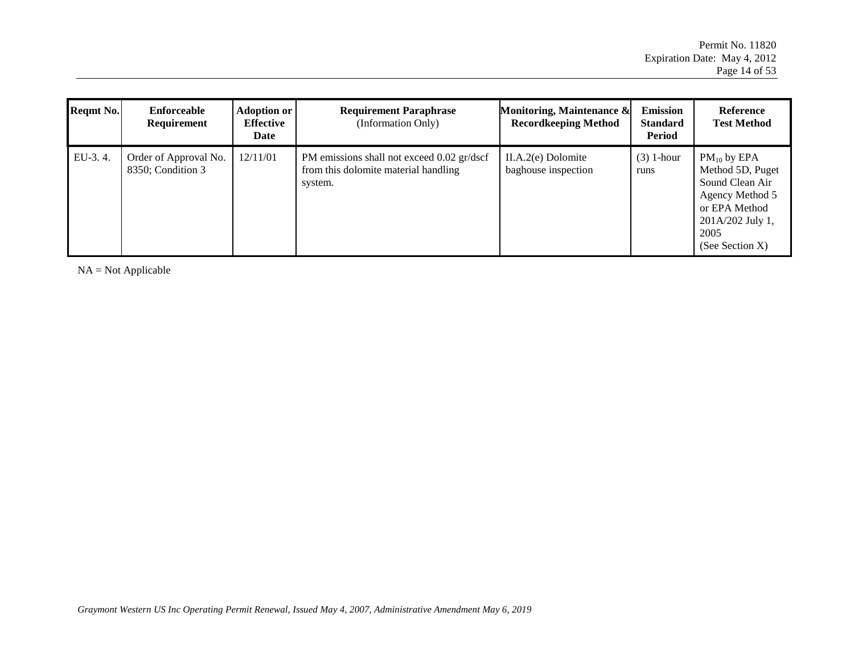| <b>Regmt No.</b> | Enforceable<br>Requirement                 | <b>Adoption or</b><br><b>Effective</b><br>Date | <b>Requirement Paraphrase</b><br>(Information Only)                                           | Monitoring, Maintenance &<br><b>Recordkeeping Method</b> | <b>Emission</b><br><b>Standard</b><br>Period | Reference<br><b>Test Method</b>                                                                                                               |
|------------------|--------------------------------------------|------------------------------------------------|-----------------------------------------------------------------------------------------------|----------------------------------------------------------|----------------------------------------------|-----------------------------------------------------------------------------------------------------------------------------------------------|
| EU-3.4.          | Order of Approval No.<br>8350; Condition 3 | 12/11/01                                       | PM emissions shall not exceed 0.02 gr/dscf<br>from this dolomite material handling<br>system. | $II.A.2(e)$ Dolomite<br>baghouse inspection              | $(3)$ 1-hour<br>runs                         | $PM_{10}$ by EPA<br>Method 5D, Puget<br>Sound Clean Air<br>Agency Method 5<br>or EPA Method<br>201A/202 July 1,<br>2005<br>(See Section $X$ ) |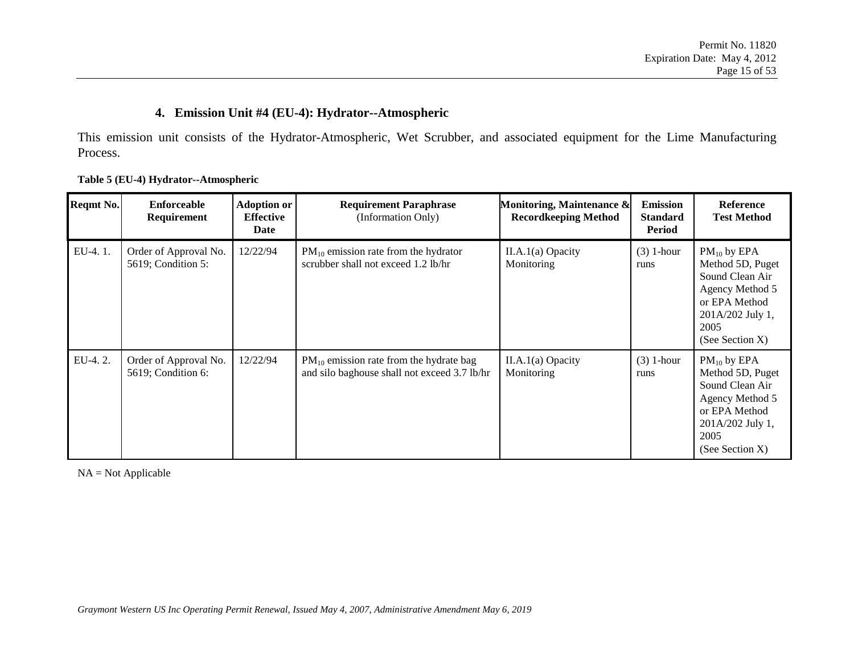#### **4. Emission Unit #4 (EU-4): Hydrator--Atmospheric**

This emission unit consists of the Hydrator-Atmospheric, Wet Scrubber, and associated equipment for the Lime Manufacturing Process.

<span id="page-14-0"></span>

| Reqmt No. | Enforceable<br><b>Requirement</b>           | <b>Adoption or</b><br><b>Effective</b><br>Date | <b>Requirement Paraphrase</b><br>(Information Only)                                          | Monitoring, Maintenance &<br><b>Recordkeeping Method</b> | <b>Emission</b><br><b>Standard</b><br>Period | <b>Reference</b><br><b>Test Method</b>                                                                                                        |
|-----------|---------------------------------------------|------------------------------------------------|----------------------------------------------------------------------------------------------|----------------------------------------------------------|----------------------------------------------|-----------------------------------------------------------------------------------------------------------------------------------------------|
| EU-4.1.   | Order of Approval No.<br>5619; Condition 5: | 12/22/94                                       | $PM_{10}$ emission rate from the hydrator<br>scrubber shall not exceed 1.2 lb/hr             | $II.A.1(a)$ Opacity<br>Monitoring                        | $(3)$ 1-hour<br>runs                         | $PM_{10}$ by EPA<br>Method 5D, Puget<br>Sound Clean Air<br>Agency Method 5<br>or EPA Method<br>201A/202 July 1,<br>2005<br>(See Section $X$ ) |
| EU-4.2.   | Order of Approval No.<br>5619; Condition 6: | 12/22/94                                       | $PM_{10}$ emission rate from the hydrate bag<br>and silo baghouse shall not exceed 3.7 lb/hr | $II.A.1(a)$ Opacity<br>Monitoring                        | $(3)$ 1-hour<br>runs                         | $PM_{10}$ by EPA<br>Method 5D, Puget<br>Sound Clean Air<br>Agency Method 5<br>or EPA Method<br>201A/202 July 1,<br>2005<br>(See Section X)    |

#### **Table 5 (EU-4) Hydrator--Atmospheric**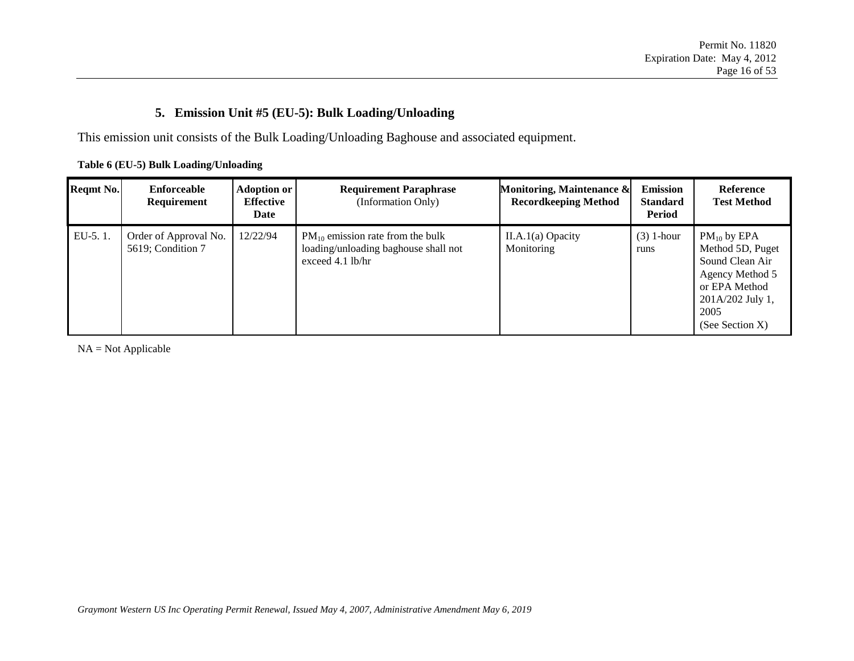### **5. Emission Unit #5 (EU-5): Bulk Loading/Unloading**

This emission unit consists of the Bulk Loading/Unloading Baghouse and associated equipment.

<span id="page-15-0"></span>

| <b>Reqmt No.</b> | Enforceable<br><b>Requirement</b>          | <b>Adoption or</b><br><b>Effective</b><br>Date | <b>Requirement Paraphrase</b><br>(Information Only)                                                 | Monitoring, Maintenance &<br><b>Recordkeeping Method</b> | <b>Emission</b><br><b>Standard</b><br>Period | <b>Reference</b><br><b>Test Method</b>                                                                                                        |
|------------------|--------------------------------------------|------------------------------------------------|-----------------------------------------------------------------------------------------------------|----------------------------------------------------------|----------------------------------------------|-----------------------------------------------------------------------------------------------------------------------------------------------|
| $EU-5.1.$        | Order of Approval No.<br>5619; Condition 7 | 12/22/94                                       | $PM_{10}$ emission rate from the bulk<br>loading/unloading baghouse shall not<br>exceed $4.1$ lb/hr | $II.A.1(a)$ Opacity<br>Monitoring                        | $(3)$ 1-hour<br>runs                         | $PM_{10}$ by EPA<br>Method 5D, Puget<br>Sound Clean Air<br>Agency Method 5<br>or EPA Method<br>201A/202 July 1,<br>2005<br>(See Section $X$ ) |

**Table 6 (EU-5) Bulk Loading/Unloading**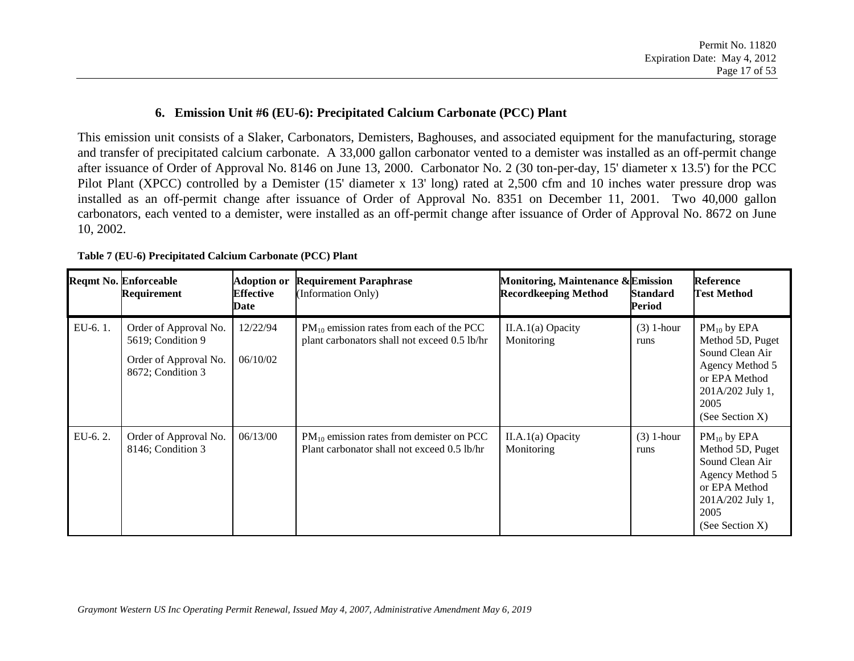#### **6. Emission Unit #6 (EU-6): Precipitated Calcium Carbonate (PCC) Plant**

This emission unit consists of a Slaker, Carbonators, Demisters, Baghouses, and associated equipment for the manufacturing, storage and transfer of precipitated calcium carbonate. A 33,000 gallon carbonator vented to a demister was installed as an off-permit change after issuance of Order of Approval No. 8146 on June 13, 2000. Carbonator No. 2 (30 ton-per-day, 15' diameter x 13.5') for the PCC Pilot Plant (XPCC) controlled by a Demister (15' diameter x 13' long) rated at 2,500 cfm and 10 inches water pressure drop was installed as an off-permit change after issuance of Order of Approval No. 8351 on December 11, 2001. Two 40,000 gallon carbonators, each vented to a demister, were installed as an off-permit change after issuance of Order of Approval No. 8672 on June 10, 2002.

<span id="page-16-0"></span>

|         | <b>Reqmt No. Enforceable</b><br>Requirement                                              | <b>Adoption or</b><br><b>Effective</b><br>Date | <b>Requirement Paraphrase</b><br>(Information Only)                                           | Monitoring, Maintenance & Emission<br><b>Recordkeeping Method</b> | <b>Standard</b><br>Period | <b>Reference</b><br><b>Test Method</b>                                                                                                        |
|---------|------------------------------------------------------------------------------------------|------------------------------------------------|-----------------------------------------------------------------------------------------------|-------------------------------------------------------------------|---------------------------|-----------------------------------------------------------------------------------------------------------------------------------------------|
| EU-6.1. | Order of Approval No.<br>5619; Condition 9<br>Order of Approval No.<br>8672; Condition 3 | 12/22/94<br>06/10/02                           | $PM_{10}$ emission rates from each of the PCC<br>plant carbonators shall not exceed 0.5 lb/hr | $II.A.1(a)$ Opacity<br>Monitoring                                 | $(3)$ 1-hour<br>runs      | $PM_{10}$ by EPA<br>Method 5D, Puget<br>Sound Clean Air<br>Agency Method 5<br>or EPA Method<br>201A/202 July 1,<br>2005<br>(See Section X)    |
| EU-6.2. | Order of Approval No.<br>8146; Condition 3                                               | 06/13/00                                       | $PM_{10}$ emission rates from demister on PCC<br>Plant carbonator shall not exceed 0.5 lb/hr  | $II.A.1(a)$ Opacity<br>Monitoring                                 | $(3)$ 1-hour<br>runs      | $PM_{10}$ by EPA<br>Method 5D, Puget<br>Sound Clean Air<br>Agency Method 5<br>or EPA Method<br>201A/202 July 1,<br>2005<br>(See Section $X$ ) |

**Table 7 (EU-6) Precipitated Calcium Carbonate (PCC) Plant**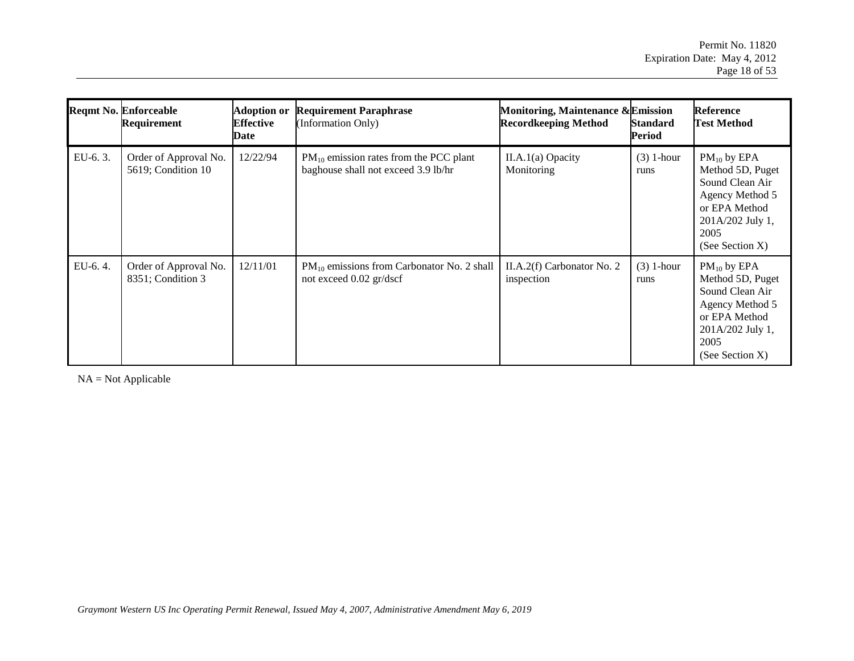|         | <b>Reqmt No. Enforceable</b><br>Requirement | <b>Adoption or</b><br><b>Effective</b><br>Date | <b>Requirement Paraphrase</b><br>(Information Only)                                | Monitoring, Maintenance & Emission<br><b>Recordkeeping Method</b> | <b>Standard</b><br>Period | <b>Reference</b><br><b>Test Method</b>                                                                                                        |
|---------|---------------------------------------------|------------------------------------------------|------------------------------------------------------------------------------------|-------------------------------------------------------------------|---------------------------|-----------------------------------------------------------------------------------------------------------------------------------------------|
| EU-6.3. | Order of Approval No.<br>5619; Condition 10 | 12/22/94                                       | $PM_{10}$ emission rates from the PCC plant<br>baghouse shall not exceed 3.9 lb/hr | $II.A.1(a)$ Opacity<br>Monitoring                                 | $(3)$ 1-hour<br>runs      | $PM_{10}$ by EPA<br>Method 5D, Puget<br>Sound Clean Air<br>Agency Method 5<br>or EPA Method<br>201A/202 July 1,<br>2005<br>(See Section X)    |
| EU-6.4. | Order of Approval No.<br>8351; Condition 3  | 12/11/01                                       | $PM_{10}$ emissions from Carbonator No. 2 shall<br>not exceed 0.02 gr/dscf         | II.A.2(f) Carbonator No. 2<br>inspection                          | $(3)$ 1-hour<br>runs      | $PM_{10}$ by EPA<br>Method 5D, Puget<br>Sound Clean Air<br>Agency Method 5<br>or EPA Method<br>201A/202 July 1,<br>2005<br>(See Section $X$ ) |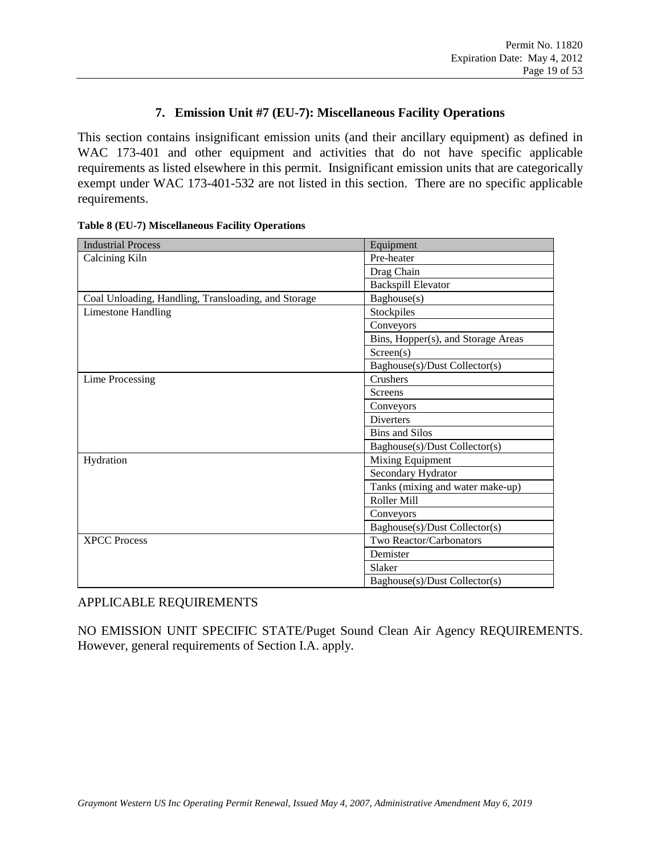#### **7. Emission Unit #7 (EU-7): Miscellaneous Facility Operations**

This section contains insignificant emission units (and their ancillary equipment) as defined in WAC 173-401 and other equipment and activities that do not have specific applicable requirements as listed elsewhere in this permit. Insignificant emission units that are categorically exempt under WAC 173-401-532 are not listed in this section. There are no specific applicable requirements.

| <b>Industrial Process</b>                           | Equipment                          |
|-----------------------------------------------------|------------------------------------|
| Calcining Kiln                                      | Pre-heater                         |
|                                                     | Drag Chain                         |
|                                                     | <b>Backspill Elevator</b>          |
| Coal Unloading, Handling, Transloading, and Storage | Baghouse(s)                        |
| <b>Limestone Handling</b>                           | Stockpiles                         |
|                                                     | Conveyors                          |
|                                                     | Bins, Hopper(s), and Storage Areas |
|                                                     | Screen(s)                          |
|                                                     | Baghouse(s)/Dust Collector(s)      |
| Lime Processing                                     | Crushers                           |
|                                                     | Screens                            |
|                                                     | Conveyors                          |
|                                                     | <b>Diverters</b>                   |
|                                                     | <b>Bins and Silos</b>              |
|                                                     | Baghouse(s)/Dust Collector(s)      |
| Hydration                                           | Mixing Equipment                   |
|                                                     | Secondary Hydrator                 |
|                                                     | Tanks (mixing and water make-up)   |
|                                                     | Roller Mill                        |
|                                                     | Conveyors                          |
|                                                     | Baghouse(s)/Dust Collector(s)      |
| <b>XPCC Process</b>                                 | Two Reactor/Carbonators            |
|                                                     | Demister                           |
|                                                     | Slaker                             |
|                                                     | Baghouse(s)/Dust Collector(s)      |

#### <span id="page-18-0"></span>**Table 8 (EU-7) Miscellaneous Facility Operations**

#### APPLICABLE REQUIREMENTS

NO EMISSION UNIT SPECIFIC STATE/Puget Sound Clean Air Agency REQUIREMENTS. However, general requirements of Section I.A. apply.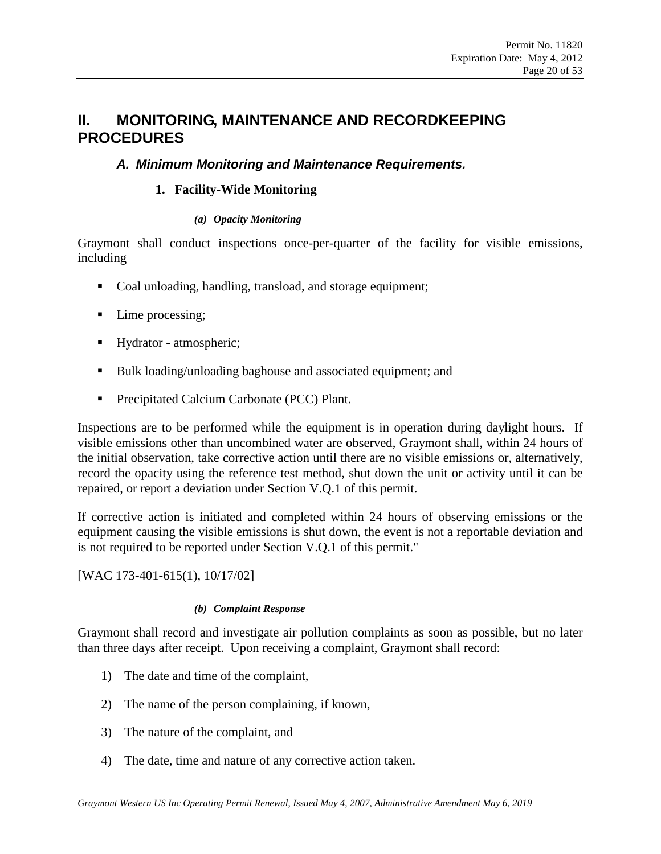## <span id="page-19-0"></span>**II. MONITORING, MAINTENANCE AND RECORDKEEPING PROCEDURES**

#### <span id="page-19-2"></span>*A. Minimum Monitoring and Maintenance Requirements.*

#### **1. Facility-Wide Monitoring**

#### *(a) Opacity Monitoring*

Graymont shall conduct inspections once-per-quarter of the facility for visible emissions, including

- Coal unloading, handling, transload, and storage equipment;
- Lime processing;
- Hydrator atmospheric;
- Bulk loading/unloading baghouse and associated equipment; and
- <span id="page-19-1"></span>**Precipitated Calcium Carbonate (PCC) Plant.**

Inspections are to be performed while the equipment is in operation during daylight hours. If visible emissions other than uncombined water are observed, Graymont shall, within 24 hours of the initial observation, take corrective action until there are no visible emissions or, alternatively, record the opacity using the reference test method, shut down the unit or activity until it can be repaired, or report a deviation under Section [V.Q.1](#page-36-0) of this permit.

If corrective action is initiated and completed within 24 hours of observing emissions or the equipment causing the visible emissions is shut down, the event is not a reportable deviation and is not required to be reported under Section [V.Q.1](#page-36-0) of this permit."

[WAC 173-401-615(1), 10/17/02]

#### *(b) Complaint Response*

Graymont shall record and investigate air pollution complaints as soon as possible, but no later than three days after receipt. Upon receiving a complaint, Graymont shall record:

- 1) The date and time of the complaint,
- 2) The name of the person complaining, if known,
- 3) The nature of the complaint, and
- 4) The date, time and nature of any corrective action taken.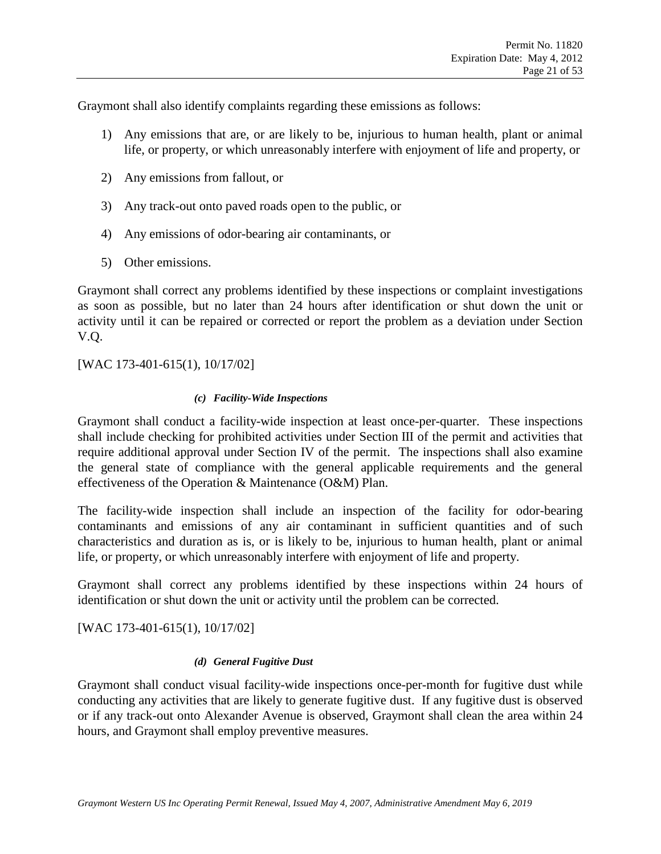Graymont shall also identify complaints regarding these emissions as follows:

- 1) Any emissions that are, or are likely to be, injurious to human health, plant or animal life, or property, or which unreasonably interfere with enjoyment of life and property, or
- <span id="page-20-0"></span>2) Any emissions from fallout, or
- 3) Any track-out onto paved roads open to the public, or
- 4) Any emissions of odor-bearing air contaminants, or
- 5) Other emissions.

Graymont shall correct any problems identified by these inspections or complaint investigations as soon as possible, but no later than 24 hours after identification or shut down the unit or activity until it can be repaired or corrected or report the problem as a deviation under Section [V.Q.](#page-36-1)

[WAC 173-401-615(1), 10/17/02]

#### *(c) Facility-Wide Inspections*

Graymont shall conduct a facility-wide inspection at least once-per-quarter. These inspections shall include checking for prohibited activities under Section III of the permit and activities that require additional approval under Section IV of the permit. The inspections shall also examine the general state of compliance with the general applicable requirements and the general effectiveness of the Operation & Maintenance (O&M) Plan.

The facility-wide inspection shall include an inspection of the facility for odor-bearing contaminants and emissions of any air contaminant in sufficient quantities and of such characteristics and duration as is, or is likely to be, injurious to human health, plant or animal life, or property, or which unreasonably interfere with enjoyment of life and property.

Graymont shall correct any problems identified by these inspections within 24 hours of identification or shut down the unit or activity until the problem can be corrected.

[WAC 173-401-615(1), 10/17/02]

#### *(d) General Fugitive Dust*

Graymont shall conduct visual facility-wide inspections once-per-month for fugitive dust while conducting any activities that are likely to generate fugitive dust. If any fugitive dust is observed or if any track-out onto Alexander Avenue is observed, Graymont shall clean the area within 24 hours, and Graymont shall employ preventive measures.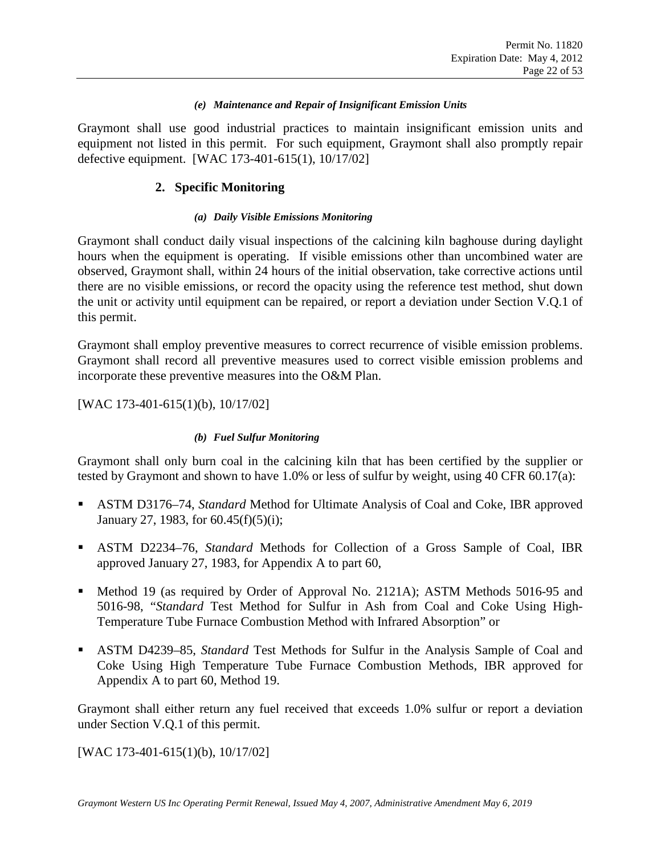#### *(e) Maintenance and Repair of Insignificant Emission Units*

<span id="page-21-0"></span>Graymont shall use good industrial practices to maintain insignificant emission units and equipment not listed in this permit. For such equipment, Graymont shall also promptly repair defective equipment. [WAC 173-401-615(1), 10/17/02]

#### **2. Specific Monitoring**

#### *(a) Daily Visible Emissions Monitoring*

<span id="page-21-2"></span><span id="page-21-1"></span>Graymont shall conduct daily visual inspections of the calcining kiln baghouse during daylight hours when the equipment is operating. If visible emissions other than uncombined water are observed, Graymont shall, within 24 hours of the initial observation, take corrective actions until there are no visible emissions, or record the opacity using the reference test method, shut down the unit or activity until equipment can be repaired, or report a deviation under Section [V.Q.1](#page-36-0) of this permit.

Graymont shall employ preventive measures to correct recurrence of visible emission problems. Graymont shall record all preventive measures used to correct visible emission problems and incorporate these preventive measures into the O&M Plan.

[WAC 173-401-615(1)(b), 10/17/02]

#### *(b) Fuel Sulfur Monitoring*

Graymont shall only burn coal in the calcining kiln that has been certified by the supplier or tested by Graymont and shown to have 1.0% or less of sulfur by weight, using 40 CFR 60.17(a):

- ASTM D3176–74, *Standard* Method for Ultimate Analysis of Coal and Coke, IBR approved January 27, 1983, for 60.45(f)(5)(i);
- ASTM D2234–76, *Standard* Methods for Collection of a Gross Sample of Coal, IBR approved January 27, 1983, for Appendix A to part 60,
- Method 19 (as required by Order of Approval No. 2121A); ASTM Methods 5016-95 and 5016-98, "*Standard* Test Method for Sulfur in Ash from Coal and Coke Using High-Temperature Tube Furnace Combustion Method with Infrared Absorption" or
- ASTM D4239–85, *Standard* Test Methods for Sulfur in the Analysis Sample of Coal and Coke Using High Temperature Tube Furnace Combustion Methods, IBR approved for Appendix A to part 60, Method 19.

Graymont shall either return any fuel received that exceeds 1.0% sulfur or report a deviation under Section [V.Q.1](#page-36-0) of this permit.

[WAC 173-401-615(1)(b), 10/17/02]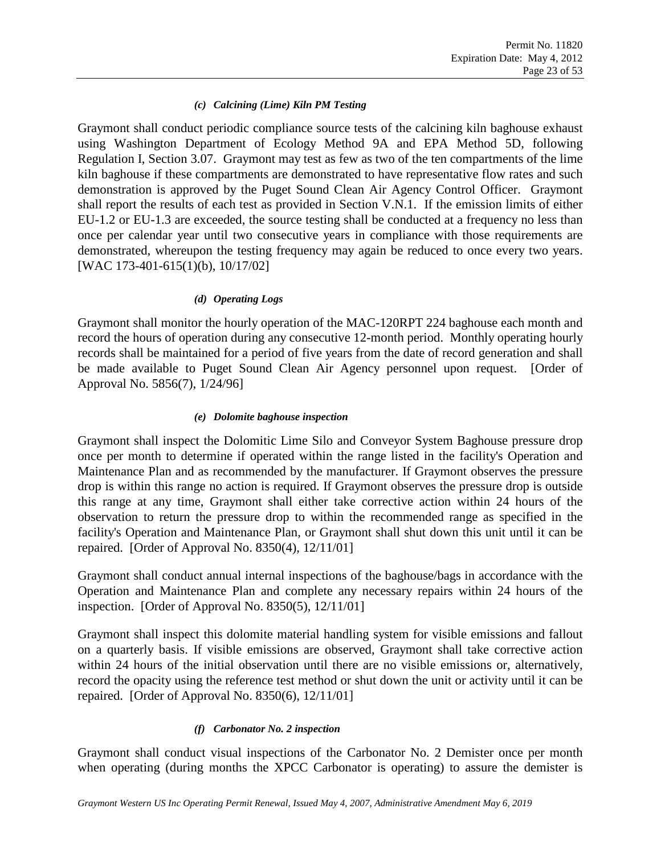#### *(c) Calcining (Lime) Kiln PM Testing*

<span id="page-22-4"></span><span id="page-22-2"></span><span id="page-22-1"></span><span id="page-22-0"></span>Graymont shall conduct periodic compliance source tests of the calcining kiln baghouse exhaust using Washington Department of Ecology Method 9A and EPA Method 5D, following Regulation I, Section 3.07. Graymont may test as few as two of the ten compartments of the lime kiln baghouse if these compartments are demonstrated to have representative flow rates and such demonstration is approved by the Puget Sound Clean Air Agency Control Officer. Graymont shall report the results of each test as provided in Section [V.N.1.](#page-33-0) If the emission limits of either [EU-1.2](#page-9-1) or [EU-1.3](#page-10-1) are exceeded, the source testing shall be conducted at a frequency no less than once per calendar year until two consecutive years in compliance with those requirements are demonstrated, whereupon the testing frequency may again be reduced to once every two years. [WAC 173-401-615(1)(b), 10/17/02]

#### *(d) Operating Logs*

Graymont shall monitor the hourly operation of the MAC-120RPT 224 baghouse each month and record the hours of operation during any consecutive 12-month period. Monthly operating hourly records shall be maintained for a period of five years from the date of record generation and shall be made available to Puget Sound Clean Air Agency personnel upon request. [Order of Approval No. 5856(7), 1/24/96]

#### *(e) Dolomite baghouse inspection*

Graymont shall inspect the Dolomitic Lime Silo and Conveyor System Baghouse pressure drop once per month to determine if operated within the range listed in the facility's Operation and Maintenance Plan and as recommended by the manufacturer. If Graymont observes the pressure drop is within this range no action is required. If Graymont observes the pressure drop is outside this range at any time, Graymont shall either take corrective action within 24 hours of the observation to return the pressure drop to within the recommended range as specified in the facility's Operation and Maintenance Plan, or Graymont shall shut down this unit until it can be repaired. [Order of Approval No. 8350(4), 12/11/01]

<span id="page-22-3"></span>Graymont shall conduct annual internal inspections of the baghouse/bags in accordance with the Operation and Maintenance Plan and complete any necessary repairs within 24 hours of the inspection. [Order of Approval No. 8350(5), 12/11/01]

Graymont shall inspect this dolomite material handling system for visible emissions and fallout on a quarterly basis. If visible emissions are observed, Graymont shall take corrective action within 24 hours of the initial observation until there are no visible emissions or, alternatively, record the opacity using the reference test method or shut down the unit or activity until it can be repaired. [Order of Approval No. 8350(6), 12/11/01]

#### *(f) Carbonator No. 2 inspection*

Graymont shall conduct visual inspections of the Carbonator No. 2 Demister once per month when operating (during months the XPCC Carbonator is operating) to assure the demister is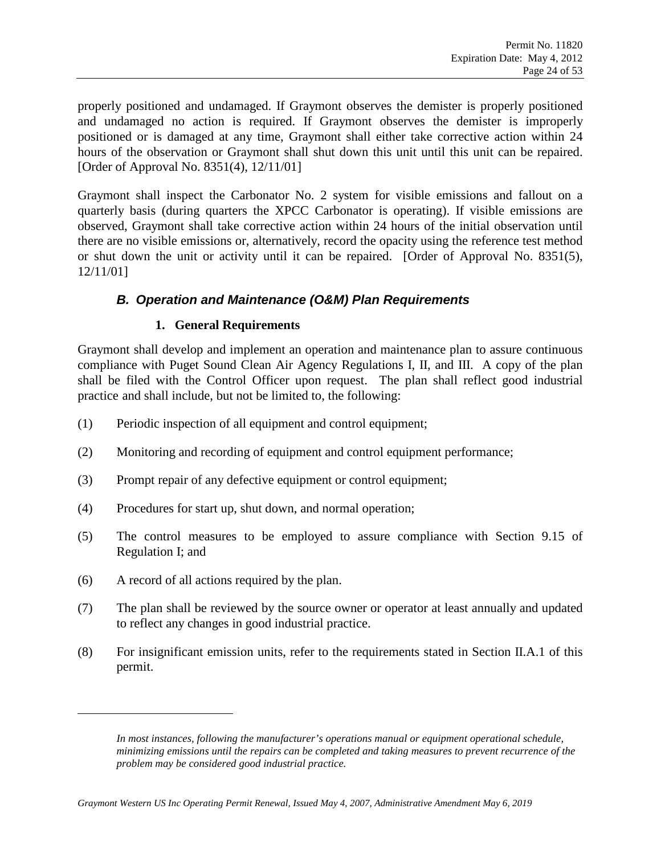<span id="page-23-0"></span>properly positioned and undamaged. If Graymont observes the demister is properly positioned and undamaged no action is required. If Graymont observes the demister is improperly positioned or is damaged at any time, Graymont shall either take corrective action within 24 hours of the observation or Graymont shall shut down this unit until this unit can be repaired. [Order of Approval No. 8351(4), 12/11/01]

Graymont shall inspect the Carbonator No. 2 system for visible emissions and fallout on a quarterly basis (during quarters the XPCC Carbonator is operating). If visible emissions are observed, Graymont shall take corrective action within 24 hours of the initial observation until there are no visible emissions or, alternatively, record the opacity using the reference test method or shut down the unit or activity until it can be repaired. [Order of Approval No. 8351(5), 12/11/01]

### *B. Operation and Maintenance (O&M) Plan Requirements*

#### **1. General Requirements**

Graymont shall develop and implement an operation and maintenance plan to assure continuous compliance with Puget Sound Clean Air Agency Regulations I, II, and III. A copy of the plan shall b[e](#page-23-1) filed with the Control Officer upon request. The plan shall reflect good industrial practice and shall include, but not be limited to, the following:

- (1) Periodic inspection of all equipment and control equipment;
- (2) Monitoring and recording of equipment and control equipment performance;
- (3) Prompt repair of any defective equipment or control equipment;
- (4) Procedures for start up, shut down, and normal operation;
- (5) The control measures to be employed to assure compliance with Section 9.15 of Regulation I; and
- (6) A record of all actions required by the plan.

<span id="page-23-1"></span> $\overline{a}$ 

- (7) The plan shall be reviewed by the source owner or operator at least annually and updated to reflect any changes in good industrial practice.
- (8) For insignificant emission units, refer to the requirements stated in Section [II.A.1](#page-19-2) of this permit.

*In most instances, following the manufacturer's operations manual or equipment operational schedule, minimizing emissions until the repairs can be completed and taking measures to prevent recurrence of the problem may be considered good industrial practice.*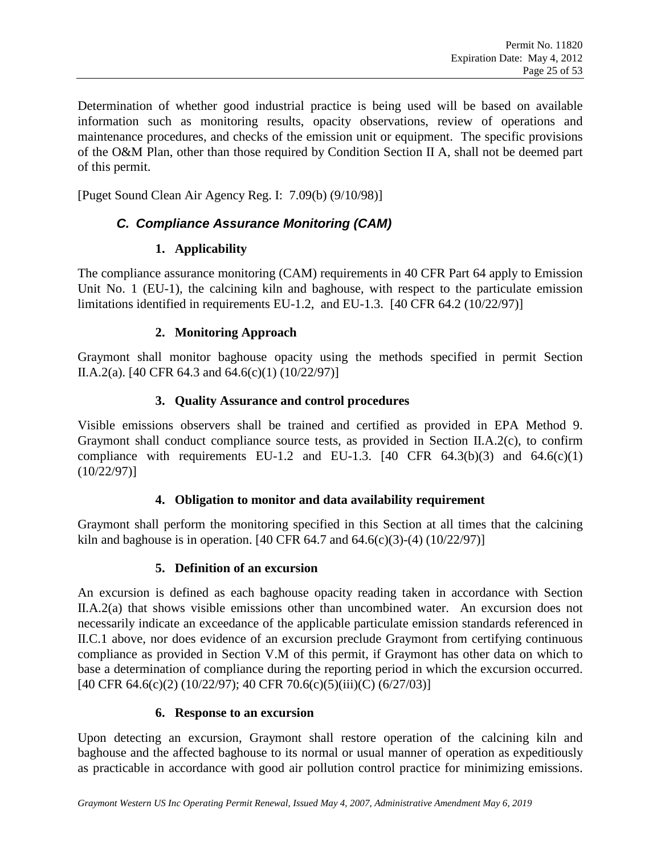<span id="page-24-0"></span>Determination of whether good industrial practice is being used will be based on available information such as monitoring results, opacity observations, review of operations and maintenance procedures, and checks of the emission unit or equipment. The specific provisions of the O&M Plan, other than those required by Condition Section II A, shall not be deemed part of this permit.

<span id="page-24-3"></span>[Puget Sound Clean Air Agency Reg. I: 7.09(b) (9/10/98)]

### *C. Compliance Assurance Monitoring (CAM)*

### **1. Applicability**

<span id="page-24-1"></span>The compliance assurance monitoring (CAM) requirements in 40 CFR Part 64 apply to Emission Unit No. 1 (EU-1), the calcining kiln and baghouse, with respect to the particulate emission limitations identified in requirements [EU-1.2,](#page-9-1) and [EU-1.3.](#page-10-1) [40 CFR 64.2 (10/22/97)]

### **2. Monitoring Approach**

Graymont shall monitor baghouse opacity using the methods specified in permit Section [II.A.2\(a\).](#page-21-2) [40 CFR 64.3 and 64.6(c)(1) (10/22/97)]

### **3. Quality Assurance and control procedures**

Visible emissions observers shall be trained and certified as provided in EPA Method 9. Graymont shall conduct compliance source tests, as provided in Section [II.A.2\(c\),](#page-22-4) to confirm compliance with requirements [EU-1.2](#page-9-1) and [EU-1.3.](#page-10-1)  $[40 \text{ CFR } 64.3(b)(3)$  and  $64.6(c)(1)$ (10/22/97)]

### **4. Obligation to monitor and data availability requirement**

<span id="page-24-2"></span>Graymont shall perform the monitoring specified in this Section at all times that the calcining kiln and baghouse is in operation. [40 CFR 64.7 and 64.6(c)(3)-(4) (10/22/97)]

### **5. Definition of an excursion**

An excursion is defined as each baghouse opacity reading taken in accordance with Section [II.A.2\(a\)](#page-21-2) that shows visible emissions other than uncombined water. An excursion does not necessarily indicate an exceedance of the applicable particulate emission standards referenced in [II.C.1](#page-24-1) above, nor does evidence of an excursion preclude Graymont from certifying continuous compliance as provided in Section [V.M](#page-33-1) of this permit, if Graymont has other data on which to base a determination of compliance during the reporting period in which the excursion occurred. [40 CFR 64.6(c)(2) (10/22/97); 40 CFR 70.6(c)(5)(iii)(C) (6/27/03)]

### **6. Response to an excursion**

Upon detecting an excursion, Graymont shall restore operation of the calcining kiln and baghouse and the affected baghouse to its normal or usual manner of operation as expeditiously as practicable in accordance with good air pollution control practice for minimizing emissions.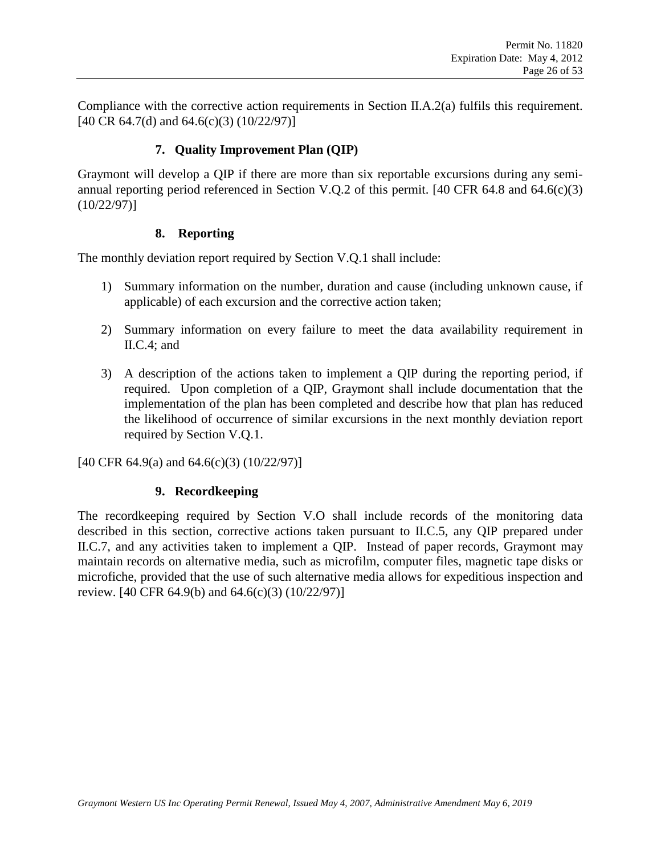Compliance with the corrective action requirements in Section [II.A.2\(a\)](#page-21-2) fulfils this requirement. [40 CR 64.7(d) and 64.6(c)(3) (10/22/97)]

#### **7. Quality Improvement Plan (QIP)**

<span id="page-25-0"></span>Graymont will develop a QIP if there are more than six reportable excursions during any semiannual reporting period referenced in Section [V.Q.2](#page-36-2) of this permit. [40 CFR 64.8 and 64.6(c)(3) (10/22/97)]

#### <span id="page-25-2"></span>**8. Reporting**

The monthly deviation report required by Section [V.Q.1](#page-36-0) shall include:

- 1) Summary information on the number, duration and cause (including unknown cause, if applicable) of each excursion and the corrective action taken;
- 2) Summary information on every failure to meet the data availability requirement in [II.C.4;](#page-24-2) and
- 3) A description of the actions taken to implement a QIP during the reporting period, if required. Upon completion of a QIP, Graymont shall include documentation that the implementation of the plan has been completed and describe how that plan has reduced the likelihood of occurrence of similar excursions in the next monthly deviation report required by Section [V.Q.1.](#page-36-0)

<span id="page-25-1"></span>[40 CFR 64.9(a) and 64.6(c)(3) (10/22/97)]

#### **9. Recordkeeping**

The recordkeeping required by Section [V.O](#page-35-0) shall include records of the monitoring data described in this section, corrective actions taken pursuant to II.C.5, any QIP prepared under [II.C.7,](#page-25-0) and any activities taken to implement a QIP. Instead of paper records, Graymont may maintain records on alternative media, such as microfilm, computer files, magnetic tape disks or microfiche, provided that the use of such alternative media allows for expeditious inspection and review. [40 CFR 64.9(b) and 64.6(c)(3) (10/22/97)]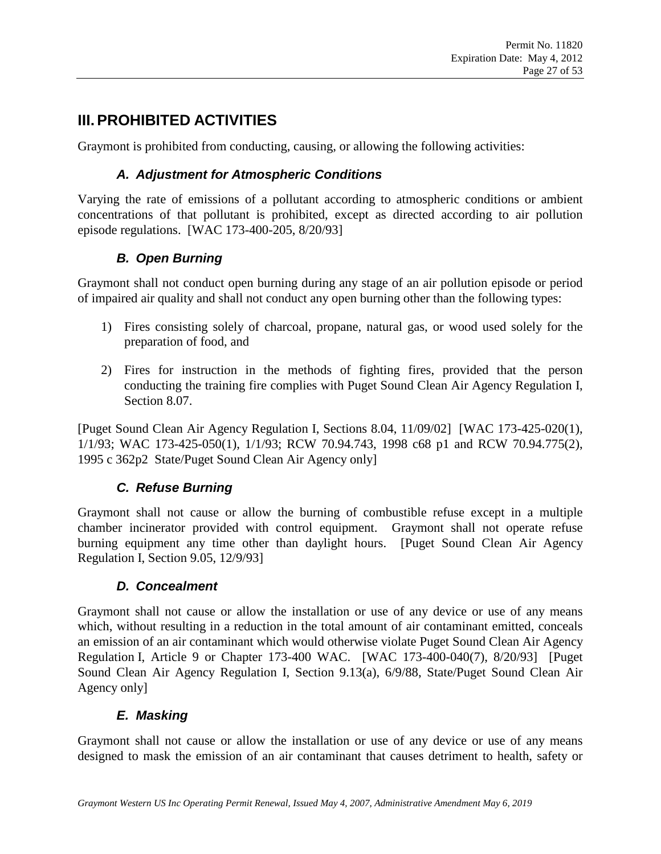# **III.PROHIBITED ACTIVITIES**

Graymont is prohibited from conducting, causing, or allowing the following activities:

### *A. Adjustment for Atmospheric Conditions*

Varying the rate of emissions of a pollutant according to atmospheric conditions or ambient concentrations of that pollutant is prohibited, except as directed according to air pollution episode regulations. [WAC 173-400-205, 8/20/93]

### *B. Open Burning*

Graymont shall not conduct open burning during any stage of an air pollution episode or period of impaired air quality and shall not conduct any open burning other than the following types:

- 1) Fires consisting solely of charcoal, propane, natural gas, or wood used solely for the preparation of food, and
- 2) Fires for instruction in the methods of fighting fires, provided that the person conducting the training fire complies with Puget Sound Clean Air Agency Regulation I, Section 8.07.

[Puget Sound Clean Air Agency Regulation I, Sections 8.04, 11/09/02] [WAC 173-425-020(1), 1/1/93; WAC 173-425-050(1), 1/1/93; RCW 70.94.743, 1998 c68 p1 and RCW 70.94.775(2), 1995 c 362p2 State/Puget Sound Clean Air Agency only]

### *C. Refuse Burning*

Graymont shall not cause or allow the burning of combustible refuse except in a multiple chamber incinerator provided with control equipment. Graymont shall not operate refuse burning equipment any time other than daylight hours. [Puget Sound Clean Air Agency Regulation I, Section 9.05, 12/9/93]

### *D. Concealment*

Graymont shall not cause or allow the installation or use of any device or use of any means which, without resulting in a reduction in the total amount of air contaminant emitted, conceals an emission of an air contaminant which would otherwise violate Puget Sound Clean Air Agency Regulation I, Article 9 or Chapter 173-400 WAC. [WAC 173-400-040(7), 8/20/93] [Puget Sound Clean Air Agency Regulation I, Section 9.13(a), 6/9/88, State/Puget Sound Clean Air Agency only]

### *E. Masking*

Graymont shall not cause or allow the installation or use of any device or use of any means designed to mask the emission of an air contaminant that causes detriment to health, safety or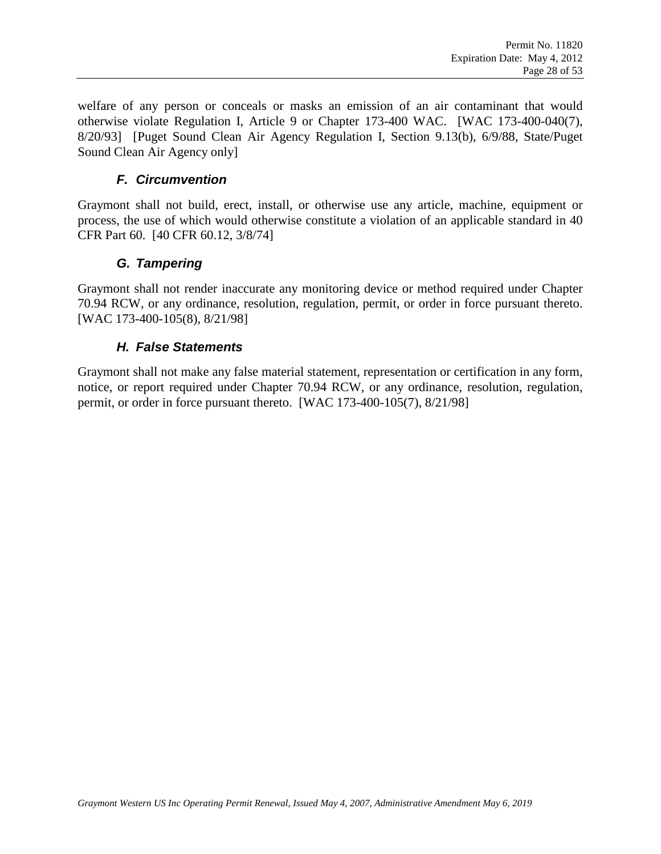welfare of any person or conceals or masks an emission of an air contaminant that would otherwise violate Regulation I, Article 9 or Chapter 173-400 WAC. [WAC 173-400-040(7), 8/20/93] [Puget Sound Clean Air Agency Regulation I, Section 9.13(b), 6/9/88, State/Puget Sound Clean Air Agency only]

#### *F. Circumvention*

Graymont shall not build, erect, install, or otherwise use any article, machine, equipment or process, the use of which would otherwise constitute a violation of an applicable standard in 40 CFR Part 60. [40 CFR 60.12, 3/8/74]

#### *G. Tampering*

Graymont shall not render inaccurate any monitoring device or method required under Chapter 70.94 RCW, or any ordinance, resolution, regulation, permit, or order in force pursuant thereto. [WAC 173-400-105(8), 8/21/98]

#### *H. False Statements*

Graymont shall not make any false material statement, representation or certification in any form, notice, or report required under Chapter 70.94 RCW, or any ordinance, resolution, regulation, permit, or order in force pursuant thereto. [WAC 173-400-105(7), 8/21/98]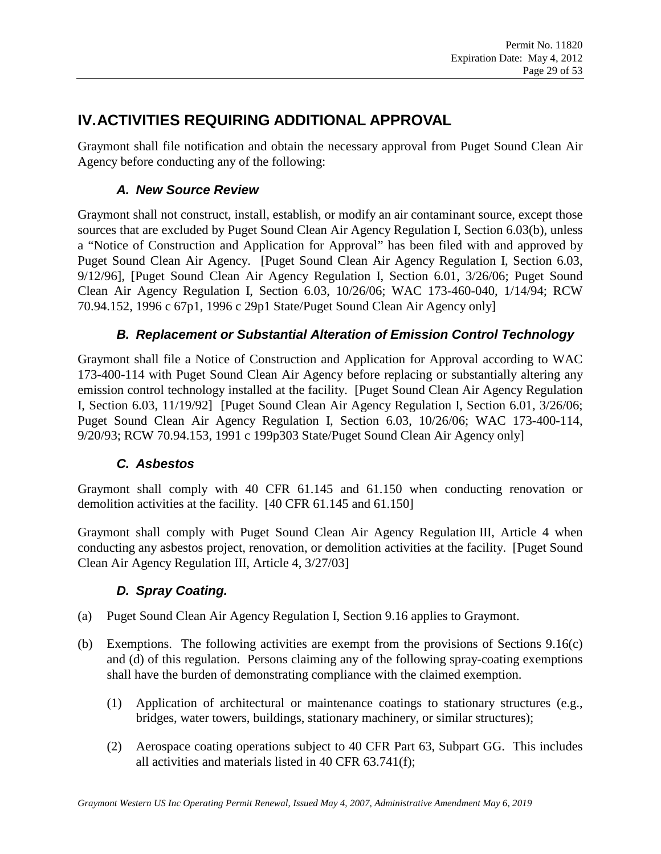# **IV.ACTIVITIES REQUIRING ADDITIONAL APPROVAL**

Graymont shall file notification and obtain the necessary approval from Puget Sound Clean Air Agency before conducting any of the following:

### *A. New Source Review*

Graymont shall not construct, install, establish, or modify an air contaminant source, except those sources that are excluded by Puget Sound Clean Air Agency Regulation I, Section 6.03(b), unless a "Notice of Construction and Application for Approval" has been filed with and approved by Puget Sound Clean Air Agency. [Puget Sound Clean Air Agency Regulation I, Section 6.03, 9/12/96], [Puget Sound Clean Air Agency Regulation I, Section 6.01, 3/26/06; Puget Sound Clean Air Agency Regulation I, Section 6.03, 10/26/06; WAC 173-460-040, 1/14/94; RCW 70.94.152, 1996 c 67p1, 1996 c 29p1 State/Puget Sound Clean Air Agency only]

### *B. Replacement or Substantial Alteration of Emission Control Technology*

Graymont shall file a Notice of Construction and Application for Approval according to WAC 173-400-114 with Puget Sound Clean Air Agency before replacing or substantially altering any emission control technology installed at the facility. [Puget Sound Clean Air Agency Regulation I, Section 6.03, 11/19/92] [Puget Sound Clean Air Agency Regulation I, Section 6.01, 3/26/06; Puget Sound Clean Air Agency Regulation I, Section 6.03, 10/26/06; WAC 173-400-114, 9/20/93; RCW 70.94.153, 1991 c 199p303 State/Puget Sound Clean Air Agency only]

### *C. Asbestos*

Graymont shall comply with 40 CFR 61.145 and 61.150 when conducting renovation or demolition activities at the facility. [40 CFR 61.145 and 61.150]

Graymont shall comply with Puget Sound Clean Air Agency Regulation III, Article 4 when conducting any asbestos project, renovation, or demolition activities at the facility. [Puget Sound Clean Air Agency Regulation III, Article 4, 3/27/03]

### *D. Spray Coating.*

- (a) Puget Sound Clean Air Agency Regulation I, Section 9.16 applies to Graymont.
- (b) Exemptions. The following activities are exempt from the provisions of Sections 9.16(c) and (d) of this regulation. Persons claiming any of the following spray-coating exemptions shall have the burden of demonstrating compliance with the claimed exemption.
	- (1) Application of architectural or maintenance coatings to stationary structures (e.g., bridges, water towers, buildings, stationary machinery, or similar structures);
	- (2) Aerospace coating operations subject to 40 CFR Part 63, Subpart GG. This includes all activities and materials listed in 40 CFR 63.741(f);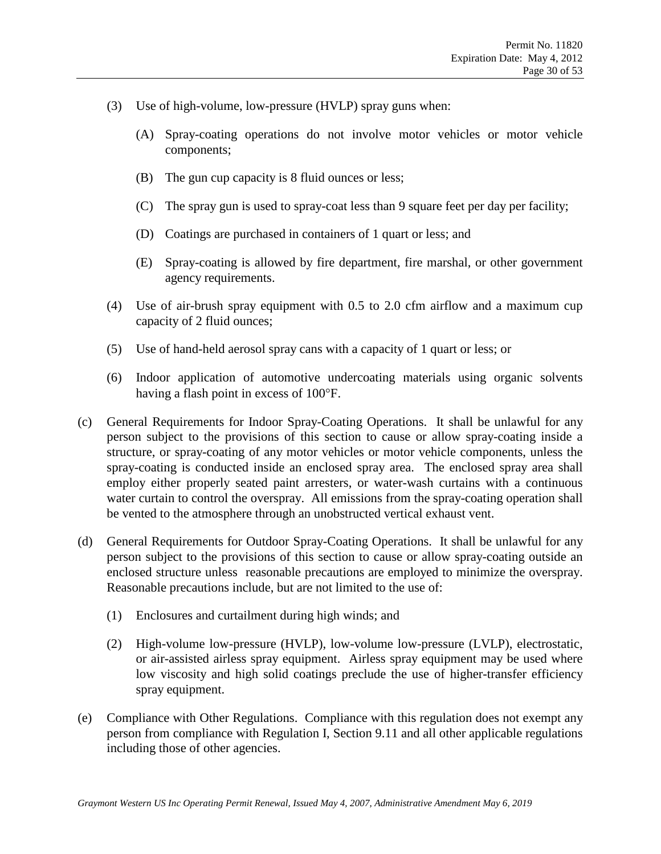- (3) Use of high-volume, low-pressure (HVLP) spray guns when:
	- (A) Spray-coating operations do not involve motor vehicles or motor vehicle components;
	- (B) The gun cup capacity is 8 fluid ounces or less;
	- (C) The spray gun is used to spray-coat less than 9 square feet per day per facility;
	- (D) Coatings are purchased in containers of 1 quart or less; and
	- (E) Spray-coating is allowed by fire department, fire marshal, or other government agency requirements.
- (4) Use of air-brush spray equipment with 0.5 to 2.0 cfm airflow and a maximum cup capacity of 2 fluid ounces;
- (5) Use of hand-held aerosol spray cans with a capacity of 1 quart or less; or
- (6) Indoor application of automotive undercoating materials using organic solvents having a flash point in excess of 100°F.
- (c) General Requirements for Indoor Spray-Coating Operations. It shall be unlawful for any person subject to the provisions of this section to cause or allow spray-coating inside a structure, or spray-coating of any motor vehicles or motor vehicle components, unless the spray-coating is conducted inside an enclosed spray area. The enclosed spray area shall employ either properly seated paint arresters, or water-wash curtains with a continuous water curtain to control the overspray. All emissions from the spray-coating operation shall be vented to the atmosphere through an unobstructed vertical exhaust vent.
- (d) General Requirements for Outdoor Spray-Coating Operations. It shall be unlawful for any person subject to the provisions of this section to cause or allow spray-coating outside an enclosed structure unless reasonable precautions are employed to minimize the overspray. Reasonable precautions include, but are not limited to the use of:
	- (1) Enclosures and curtailment during high winds; and
	- (2) High-volume low-pressure (HVLP), low-volume low-pressure (LVLP), electrostatic, or air-assisted airless spray equipment. Airless spray equipment may be used where low viscosity and high solid coatings preclude the use of higher-transfer efficiency spray equipment.
- (e) Compliance with Other Regulations. Compliance with this regulation does not exempt any person from compliance with Regulation I, Section 9.11 and all other applicable regulations including those of other agencies.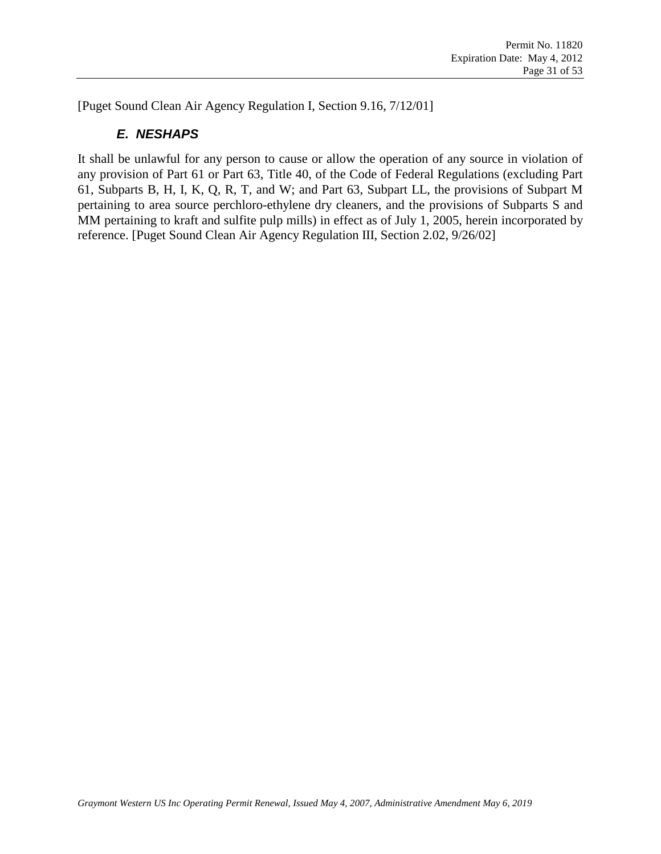[Puget Sound Clean Air Agency Regulation I, Section 9.16, 7/12/01]

### *E. NESHAPS*

It shall be unlawful for any person to cause or allow the operation of any source in violation of any provision of Part 61 or Part 63, Title 40, of the Code of Federal Regulations (excluding Part 61, Subparts B, H, I, K, Q, R, T, and W; and Part 63, Subpart LL, the provisions of Subpart M pertaining to area source perchloro-ethylene dry cleaners, and the provisions of Subparts S and MM pertaining to kraft and sulfite pulp mills) in effect as of July 1, 2005, herein incorporated by reference. [Puget Sound Clean Air Agency Regulation III, Section 2.02, 9/26/02]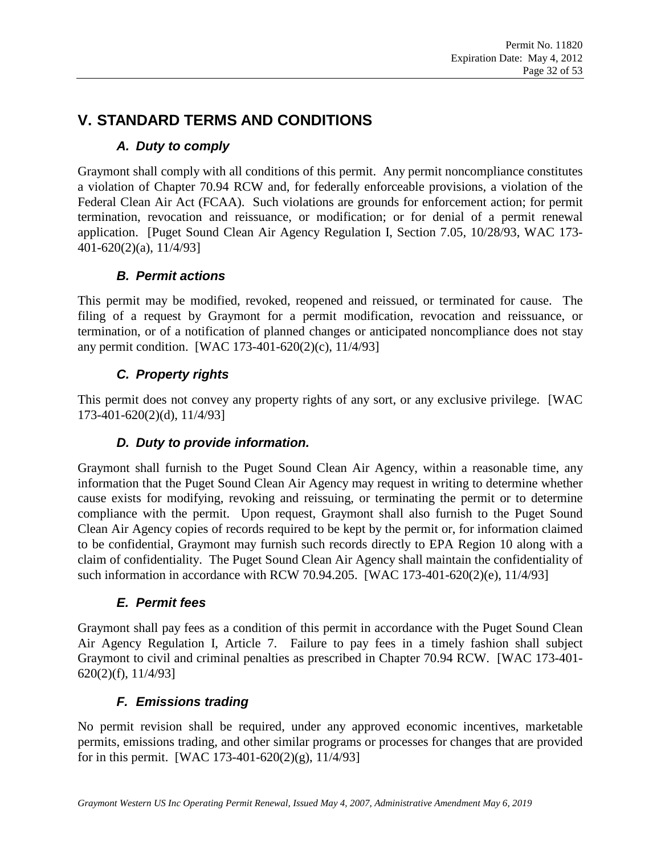# **V. STANDARD TERMS AND CONDITIONS**

### *A. Duty to comply*

Graymont shall comply with all conditions of this permit. Any permit noncompliance constitutes a violation of Chapter 70.94 RCW and, for federally enforceable provisions, a violation of the Federal Clean Air Act (FCAA). Such violations are grounds for enforcement action; for permit termination, revocation and reissuance, or modification; or for denial of a permit renewal application. [Puget Sound Clean Air Agency Regulation I, Section 7.05, 10/28/93, WAC 173- 401-620(2)(a), 11/4/93]

### *B. Permit actions*

This permit may be modified, revoked, reopened and reissued, or terminated for cause. The filing of a request by Graymont for a permit modification, revocation and reissuance, or termination, or of a notification of planned changes or anticipated noncompliance does not stay any permit condition. [WAC 173-401-620(2)(c), 11/4/93]

### *C. Property rights*

This permit does not convey any property rights of any sort, or any exclusive privilege. [WAC 173-401-620(2)(d), 11/4/93]

### *D. Duty to provide information.*

Graymont shall furnish to the Puget Sound Clean Air Agency, within a reasonable time, any information that the Puget Sound Clean Air Agency may request in writing to determine whether cause exists for modifying, revoking and reissuing, or terminating the permit or to determine compliance with the permit. Upon request, Graymont shall also furnish to the Puget Sound Clean Air Agency copies of records required to be kept by the permit or, for information claimed to be confidential, Graymont may furnish such records directly to EPA Region 10 along with a claim of confidentiality. The Puget Sound Clean Air Agency shall maintain the confidentiality of such information in accordance with RCW 70.94.205. [WAC 173-401-620(2)(e), 11/4/93]

### *E. Permit fees*

Graymont shall pay fees as a condition of this permit in accordance with the Puget Sound Clean Air Agency Regulation I, Article 7. Failure to pay fees in a timely fashion shall subject Graymont to civil and criminal penalties as prescribed in Chapter 70.94 RCW. [WAC 173-401- 620(2)(f), 11/4/93]

### *F. Emissions trading*

No permit revision shall be required, under any approved economic incentives, marketable permits, emissions trading, and other similar programs or processes for changes that are provided for in this permit. [WAC 173-401-620(2)(g), 11/4/93]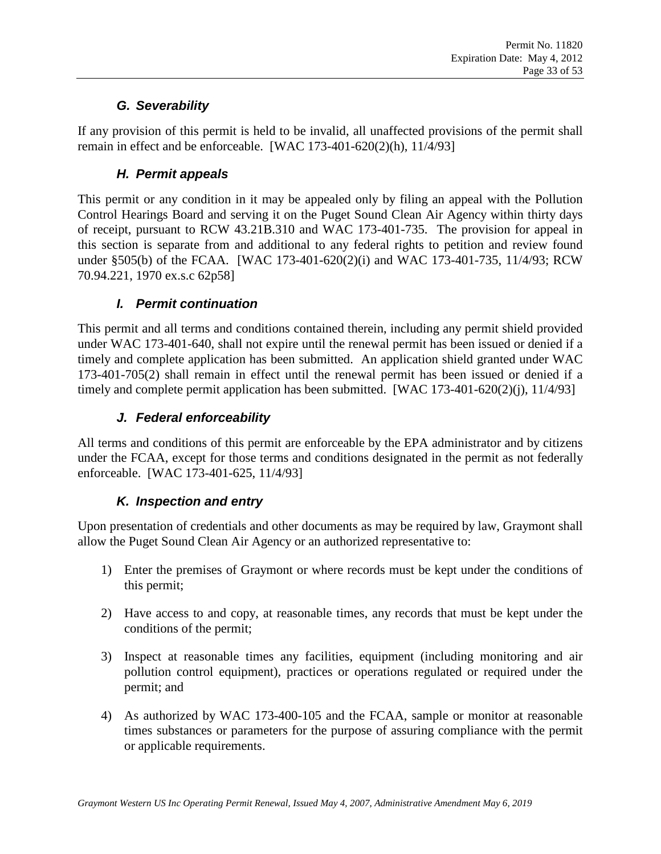### *G. Severability*

If any provision of this permit is held to be invalid, all unaffected provisions of the permit shall remain in effect and be enforceable. [WAC 173-401-620(2)(h), 11/4/93]

### *H. Permit appeals*

This permit or any condition in it may be appealed only by filing an appeal with the Pollution Control Hearings Board and serving it on the Puget Sound Clean Air Agency within thirty days of receipt, pursuant to RCW 43.21B.310 and WAC 173-401-735. The provision for appeal in this section is separate from and additional to any federal rights to petition and review found under §505(b) of the FCAA. [WAC 173-401-620(2)(i) and WAC 173-401-735, 11/4/93; RCW 70.94.221, 1970 ex.s.c 62p58]

### *I. Permit continuation*

This permit and all terms and conditions contained therein, including any permit shield provided under WAC 173-401-640, shall not expire until the renewal permit has been issued or denied if a timely and complete application has been submitted. An application shield granted under WAC 173-401-705(2) shall remain in effect until the renewal permit has been issued or denied if a timely and complete permit application has been submitted. [WAC 173-401-620(2)(j), 11/4/93]

### *J. Federal enforceability*

All terms and conditions of this permit are enforceable by the EPA administrator and by citizens under the FCAA, except for those terms and conditions designated in the permit as not federally enforceable. [WAC 173-401-625, 11/4/93]

### *K. Inspection and entry*

Upon presentation of credentials and other documents as may be required by law, Graymont shall allow the Puget Sound Clean Air Agency or an authorized representative to:

- 1) Enter the premises of Graymont or where records must be kept under the conditions of this permit;
- 2) Have access to and copy, at reasonable times, any records that must be kept under the conditions of the permit;
- 3) Inspect at reasonable times any facilities, equipment (including monitoring and air pollution control equipment), practices or operations regulated or required under the permit; and
- 4) As authorized by WAC 173-400-105 and the FCAA, sample or monitor at reasonable times substances or parameters for the purpose of assuring compliance with the permit or applicable requirements.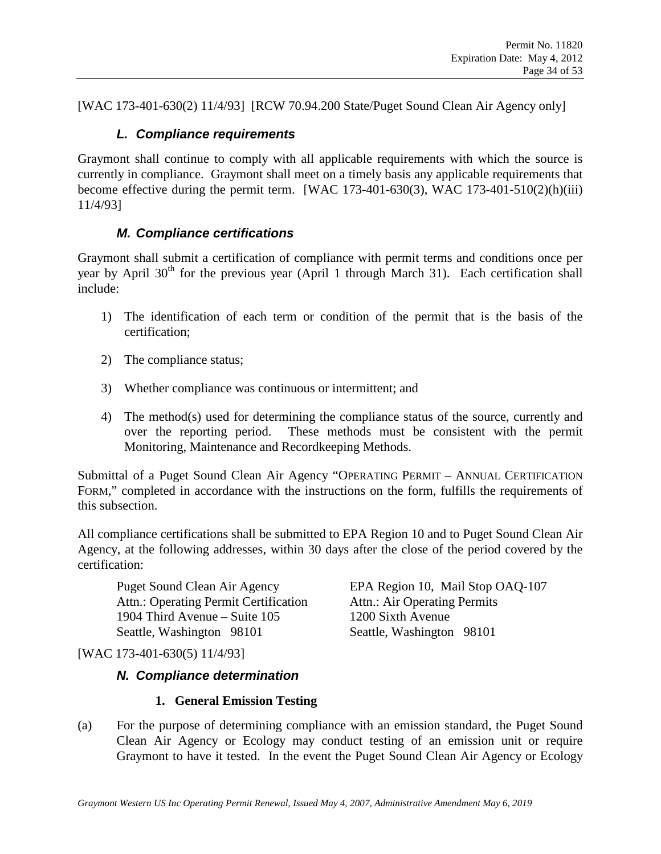[WAC 173-401-630(2) 11/4/93] [RCW 70.94.200 State/Puget Sound Clean Air Agency only]

#### *L. Compliance requirements*

Graymont shall continue to comply with all applicable requirements with which the source is currently in compliance. Graymont shall meet on a timely basis any applicable requirements that become effective during the permit term. [WAC 173-401-630(3), WAC 173-401-510(2)(h)(iii) 11/4/93]

#### *M. Compliance certifications*

<span id="page-33-1"></span>Graymont shall submit a certification of compliance with permit terms and conditions once per year by April  $30<sup>th</sup>$  for the previous year (April 1 through March 31). Each certification shall include:

- 1) The identification of each term or condition of the permit that is the basis of the certification;
- 2) The compliance status;
- 3) Whether compliance was continuous or intermittent; and
- 4) The method(s) used for determining the compliance status of the source, currently and over the reporting period. These methods must be consistent with the permit Monitoring, Maintenance and Recordkeeping Methods.

Submittal of a Puget Sound Clean Air Agency "OPERATING PERMIT – ANNUAL CERTIFICATION FORM," completed in accordance with the instructions on the form, fulfills the requirements of this subsection.

All compliance certifications shall be submitted to EPA Region 10 and to Puget Sound Clean Air Agency, at the following addresses, within 30 days after the close of the period covered by the certification:

Attn.: Operating Permit Certification Attn.: Air Operating Permits 1904 Third Avenue – Suite 105 1200 Sixth Avenue Seattle, Washington 98101 Seattle, Washington 98101

Puget Sound Clean Air Agency EPA Region 10, Mail Stop OAQ-107

[WAC 173-401-630(5) 11/4/93]

#### *N. Compliance determination*

#### **1. General Emission Testing**

<span id="page-33-0"></span>(a) For the purpose of determining compliance with an emission standard, the Puget Sound Clean Air Agency or Ecology may conduct testing of an emission unit or require Graymont to have it tested. In the event the Puget Sound Clean Air Agency or Ecology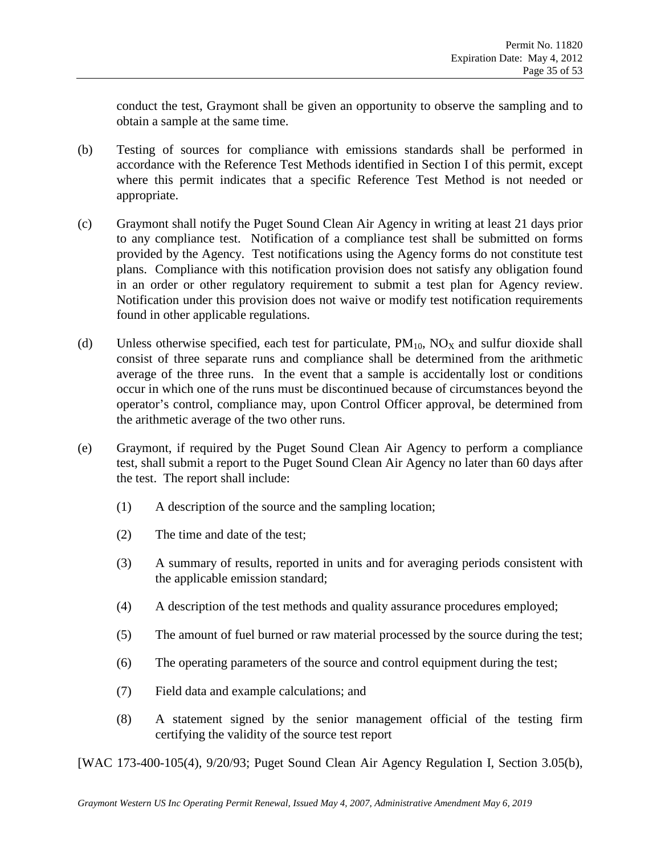conduct the test, Graymont shall be given an opportunity to observe the sampling and to obtain a sample at the same time.

- (b) Testing of sources for compliance with emissions standards shall be performed in accordance with the Reference Test Methods identified in Section I of this permit, except where this permit indicates that a specific Reference Test Method is not needed or appropriate.
- (c) Graymont shall notify the Puget Sound Clean Air Agency in writing at least 21 days prior to any compliance test. Notification of a compliance test shall be submitted on forms provided by the Agency. Test notifications using the Agency forms do not constitute test plans. Compliance with this notification provision does not satisfy any obligation found in an order or other regulatory requirement to submit a test plan for Agency review. Notification under this provision does not waive or modify test notification requirements found in other applicable regulations.
- (d) Unless otherwise specified, each test for particulate,  $PM_{10}$ ,  $NO<sub>X</sub>$  and sulfur dioxide shall consist of three separate runs and compliance shall be determined from the arithmetic average of the three runs. In the event that a sample is accidentally lost or conditions occur in which one of the runs must be discontinued because of circumstances beyond the operator's control, compliance may, upon Control Officer approval, be determined from the arithmetic average of the two other runs.
- (e) Graymont, if required by the Puget Sound Clean Air Agency to perform a compliance test, shall submit a report to the Puget Sound Clean Air Agency no later than 60 days after the test. The report shall include:
	- (1) A description of the source and the sampling location;
	- (2) The time and date of the test;
	- (3) A summary of results, reported in units and for averaging periods consistent with the applicable emission standard;
	- (4) A description of the test methods and quality assurance procedures employed;
	- (5) The amount of fuel burned or raw material processed by the source during the test;
	- (6) The operating parameters of the source and control equipment during the test;
	- (7) Field data and example calculations; and
	- (8) A statement signed by the senior management official of the testing firm certifying the validity of the source test report

[WAC 173-400-105(4), 9/20/93; Puget Sound Clean Air Agency Regulation I, Section 3.05(b),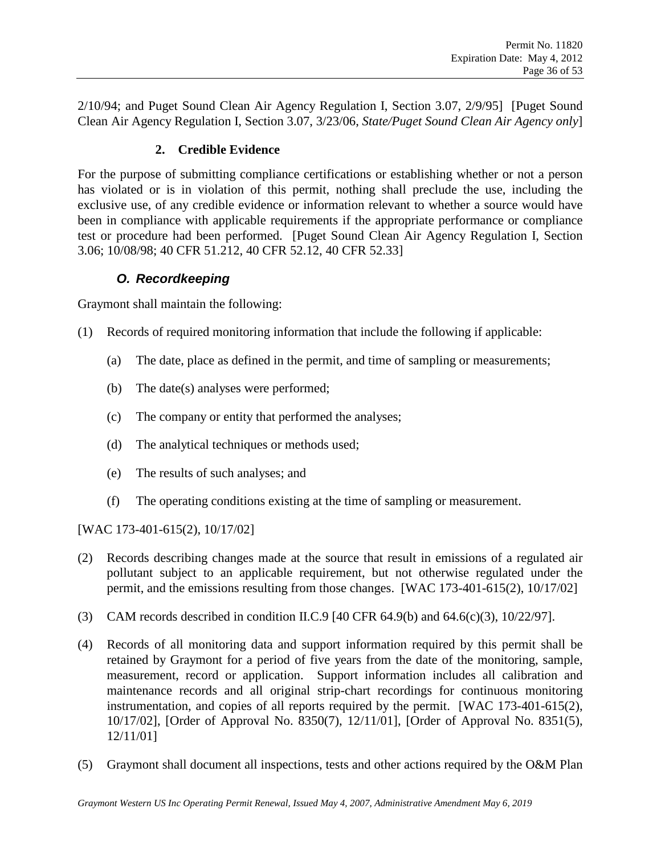2/10/94; and Puget Sound Clean Air Agency Regulation I, Section 3.07, 2/9/95] [Puget Sound Clean Air Agency Regulation I, Section 3.07, 3/23/06, *State/Puget Sound Clean Air Agency only*]

#### **2. Credible Evidence**

For the purpose of submitting compliance certifications or establishing whether or not a person has violated or is in violation of this permit, nothing shall preclude the use, including the exclusive use, of any credible evidence or information relevant to whether a source would have been in compliance with applicable requirements if the appropriate performance or compliance test or procedure had been performed. [Puget Sound Clean Air Agency Regulation I, Section 3.06; 10/08/98; 40 CFR 51.212, 40 CFR 52.12, 40 CFR 52.33]

### *O. Recordkeeping*

<span id="page-35-0"></span>Graymont shall maintain the following:

- (1) Records of required monitoring information that include the following if applicable:
	- (a) The date, place as defined in the permit, and time of sampling or measurements;
	- (b) The date(s) analyses were performed;
	- (c) The company or entity that performed the analyses;
	- (d) The analytical techniques or methods used;
	- (e) The results of such analyses; and
	- (f) The operating conditions existing at the time of sampling or measurement.

[WAC 173-401-615(2), 10/17/02]

- (2) Records describing changes made at the source that result in emissions of a regulated air pollutant subject to an applicable requirement, but not otherwise regulated under the permit, and the emissions resulting from those changes. [WAC 173-401-615(2), 10/17/02]
- (3) CAM records described in condition [II.C.9](#page-25-1) [40 CFR 64.9(b) and 64.6(c)(3), 10/22/97].
- (4) Records of all monitoring data and support information required by this permit shall be retained by Graymont for a period of five years from the date of the monitoring, sample, measurement, record or application. Support information includes all calibration and maintenance records and all original strip-chart recordings for continuous monitoring instrumentation, and copies of all reports required by the permit. [WAC 173-401-615(2), 10/17/02], [Order of Approval No. 8350(7), 12/11/01], [Order of Approval No. 8351(5), 12/11/01]
- (5) Graymont shall document all inspections, tests and other actions required by the O&M Plan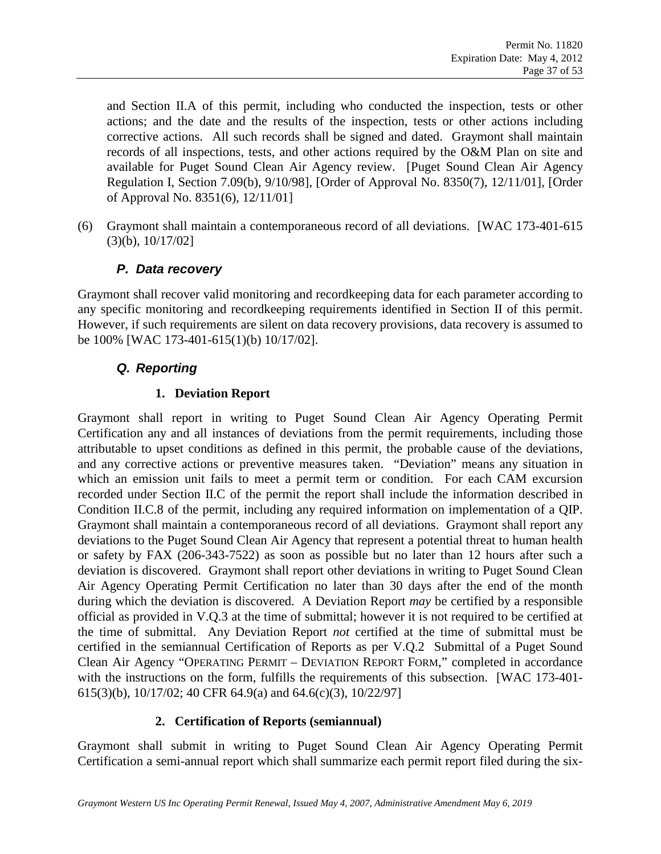and Section II.A of this permit, including who conducted the inspection, tests or other actions; and the date and the results of the inspection, tests or other actions including corrective actions. All such records shall be signed and dated. Graymont shall maintain records of all inspections, tests, and other actions required by the O&M Plan on site and available for Puget Sound Clean Air Agency review. [Puget Sound Clean Air Agency Regulation I, Section 7.09(b), 9/10/98], [Order of Approval No. 8350(7), 12/11/01], [Order of Approval No. 8351(6), 12/11/01]

(6) Graymont shall maintain a contemporaneous record of all deviations. [WAC 173-401-615 (3)(b), 10/17/02]

### *P. Data recovery*

Graymont shall recover valid monitoring and recordkeeping data for each parameter according to any specific monitoring and recordkeeping requirements identified in Section II of this permit. However, if such requirements are silent on data recovery provisions, data recovery is assumed to be 100% [WAC 173-401-615(1)(b) 10/17/02].

### <span id="page-36-1"></span>*Q. Reporting*

#### **1. Deviation Report**

<span id="page-36-0"></span>Graymont shall report in writing to Puget Sound Clean Air Agency Operating Permit Certification any and all instances of deviations from the permit requirements, including those attributable to upset conditions as defined in this permit, the probable cause of the deviations, and any corrective actions or preventive measures taken. "Deviation" means any situation in which an emission unit fails to meet a permit term or condition. For each CAM excursion recorded under Section [II.C](#page-24-3) of the permit the report shall include the information described in Condition [II.C.8](#page-25-2) of the permit, including any required information on implementation of a QIP. Graymont shall maintain a contemporaneous record of all deviations. Graymont shall report any deviations to the Puget Sound Clean Air Agency that represent a potential threat to human health or safety by FAX (206-343-7522) as soon as possible but no later than 12 hours after such a deviation is discovered. Graymont shall report other deviations in writing to Puget Sound Clean Air Agency Operating Permit Certification no later than 30 days after the end of the month during which the deviation is discovered. A Deviation Report *may* be certified by a responsible official as provided in [V.Q.3](#page-37-0) at the time of submittal; however it is not required to be certified at the time of submittal. Any Deviation Report *not* certified at the time of submittal must be certified in the semiannual Certification of Reports as per [V.Q.2](#page-36-2) Submittal of a Puget Sound Clean Air Agency "OPERATING PERMIT – DEVIATION REPORT FORM," completed in accordance with the instructions on the form, fulfills the requirements of this subsection. [WAC 173-401-615(3)(b), 10/17/02; 40 CFR 64.9(a) and 64.6(c)(3), 10/22/97]

### **2. Certification of Reports (semiannual)**

<span id="page-36-2"></span>Graymont shall submit in writing to Puget Sound Clean Air Agency Operating Permit Certification a semi-annual report which shall summarize each permit report filed during the six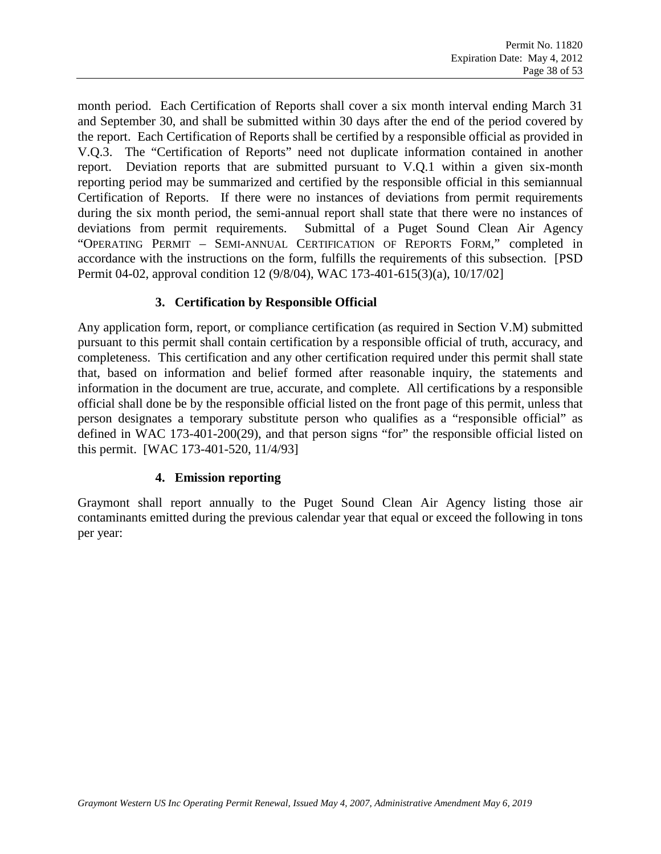month period. Each Certification of Reports shall cover a six month interval ending March 31 and September 30, and shall be submitted within 30 days after the end of the period covered by the report. Each Certification of Reports shall be certified by a responsible official as provided in [V.Q.3.](#page-37-0) The "Certification of Reports" need not duplicate information contained in another report. Deviation reports that are submitted pursuant to [V.Q.1](#page-36-0) within a given six-month reporting period may be summarized and certified by the responsible official in this semiannual Certification of Reports. If there were no instances of deviations from permit requirements during the six month period, the semi-annual report shall state that there were no instances of deviations from permit requirements. Submittal of a Puget Sound Clean Air Agency "OPERATING PERMIT – SEMI-ANNUAL CERTIFICATION OF REPORTS FORM," completed in accordance with the instructions on the form, fulfills the requirements of this subsection. [PSD Permit 04-02, approval condition 12 (9/8/04), WAC 173-401-615(3)(a), 10/17/02]

#### **3. Certification by Responsible Official**

<span id="page-37-0"></span>Any application form, report, or compliance certification (as required in Section [V.M\)](#page-33-1) submitted pursuant to this permit shall contain certification by a responsible official of truth, accuracy, and completeness. This certification and any other certification required under this permit shall state that, based on information and belief formed after reasonable inquiry, the statements and information in the document are true, accurate, and complete. All certifications by a responsible official shall done be by the responsible official listed on the front page of this permit, unless that person designates a temporary substitute person who qualifies as a "responsible official" as defined in WAC 173-401-200(29), and that person signs "for" the responsible official listed on this permit. [WAC 173-401-520, 11/4/93]

#### **4. Emission reporting**

Graymont shall report annually to the Puget Sound Clean Air Agency listing those air contaminants emitted during the previous calendar year that equal or exceed the following in tons per year: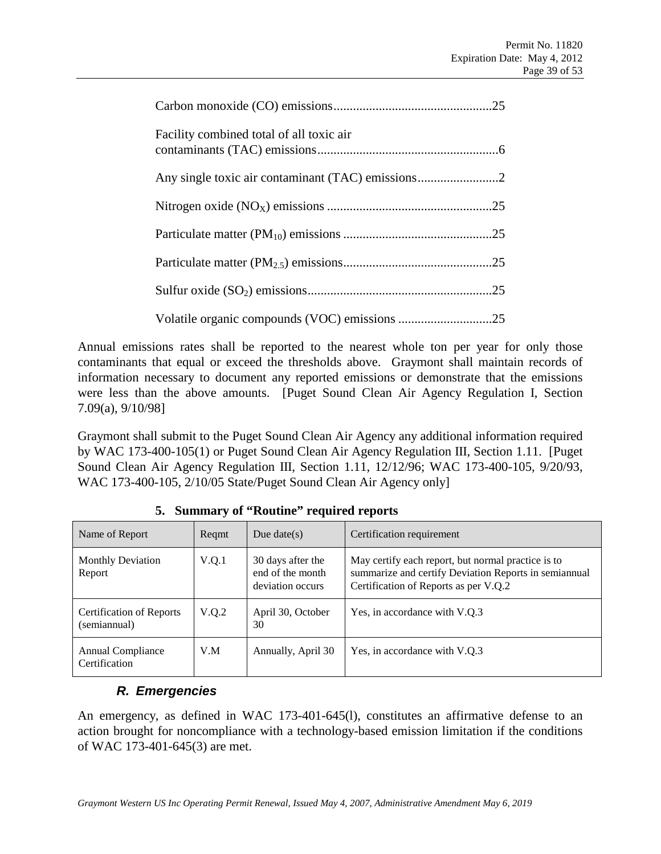| Facility combined total of all toxic air |  |
|------------------------------------------|--|
|                                          |  |
|                                          |  |
|                                          |  |
|                                          |  |
|                                          |  |
|                                          |  |

Annual emissions rates shall be reported to the nearest whole ton per year for only those contaminants that equal or exceed the thresholds above. Graymont shall maintain records of information necessary to document any reported emissions or demonstrate that the emissions were less than the above amounts. [Puget Sound Clean Air Agency Regulation I, Section 7.09(a), 9/10/98]

Graymont shall submit to the Puget Sound Clean Air Agency any additional information required by WAC 173-400-105(1) or Puget Sound Clean Air Agency Regulation III, Section 1.11. [Puget Sound Clean Air Agency Regulation III, Section 1.11, 12/12/96; WAC 173-400-105, 9/20/93, WAC 173-400-105, 2/10/05 State/Puget Sound Clean Air Agency only]

| Name of Report                                  | Regmt | Due date( $s$ )                                           | Certification requirement                                                                                                                            |
|-------------------------------------------------|-------|-----------------------------------------------------------|------------------------------------------------------------------------------------------------------------------------------------------------------|
| <b>Monthly Deviation</b><br>Report              | V.Q.1 | 30 days after the<br>end of the month<br>deviation occurs | May certify each report, but normal practice is to<br>summarize and certify Deviation Reports in semiannual<br>Certification of Reports as per V.Q.2 |
| <b>Certification of Reports</b><br>(semiannual) | V.Q.2 | April 30, October<br>30                                   | Yes, in accordance with V.Q.3                                                                                                                        |
| Annual Compliance<br>Certification              | V.M   | Annually, April 30                                        | Yes, in accordance with V.O.3                                                                                                                        |

**5. Summary of "Routine" required reports**

### *R. Emergencies*

An emergency, as defined in WAC 173-401-645(l), constitutes an affirmative defense to an action brought for noncompliance with a technology-based emission limitation if the conditions of WAC 173-401-645(3) are met.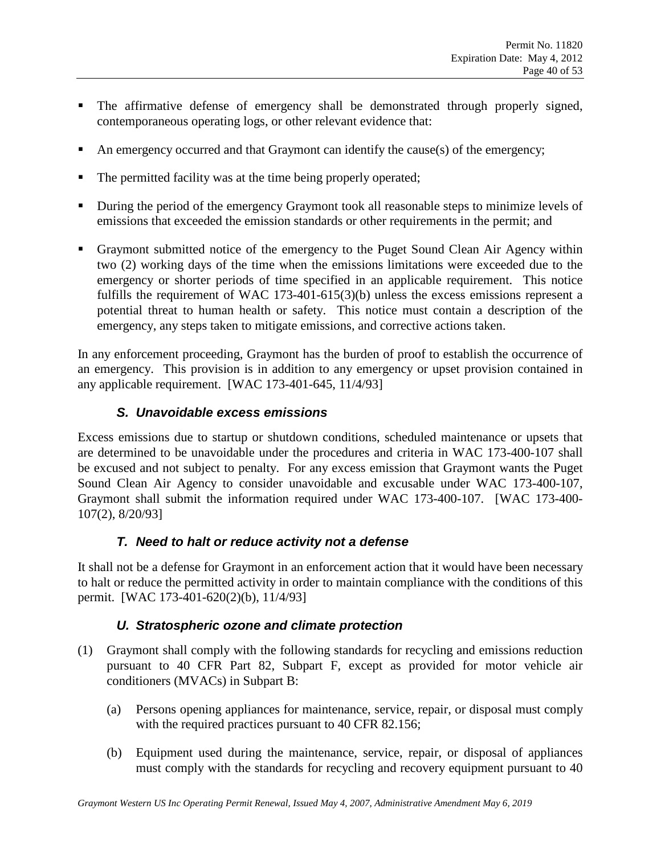- The affirmative defense of emergency shall be demonstrated through properly signed, contemporaneous operating logs, or other relevant evidence that:
- An emergency occurred and that Graymont can identify the cause(s) of the emergency;
- The permitted facility was at the time being properly operated;
- During the period of the emergency Graymont took all reasonable steps to minimize levels of emissions that exceeded the emission standards or other requirements in the permit; and
- Graymont submitted notice of the emergency to the Puget Sound Clean Air Agency within two (2) working days of the time when the emissions limitations were exceeded due to the emergency or shorter periods of time specified in an applicable requirement. This notice fulfills the requirement of WAC 173-401-615(3)(b) unless the excess emissions represent a potential threat to human health or safety. This notice must contain a description of the emergency, any steps taken to mitigate emissions, and corrective actions taken.

In any enforcement proceeding, Graymont has the burden of proof to establish the occurrence of an emergency. This provision is in addition to any emergency or upset provision contained in any applicable requirement. [WAC 173-401-645, 11/4/93]

#### *S. Unavoidable excess emissions*

Excess emissions due to startup or shutdown conditions, scheduled maintenance or upsets that are determined to be unavoidable under the procedures and criteria in WAC 173-400-107 shall be excused and not subject to penalty. For any excess emission that Graymont wants the Puget Sound Clean Air Agency to consider unavoidable and excusable under WAC 173-400-107, Graymont shall submit the information required under WAC 173-400-107. [WAC 173-400- 107(2), 8/20/93]

#### *T. Need to halt or reduce activity not a defense*

It shall not be a defense for Graymont in an enforcement action that it would have been necessary to halt or reduce the permitted activity in order to maintain compliance with the conditions of this permit. [WAC 173-401-620(2)(b), 11/4/93]

#### *U. Stratospheric ozone and climate protection*

- (1) Graymont shall comply with the following standards for recycling and emissions reduction pursuant to 40 CFR Part 82, Subpart F, except as provided for motor vehicle air conditioners (MVACs) in Subpart B:
	- (a) Persons opening appliances for maintenance, service, repair, or disposal must comply with the required practices pursuant to 40 CFR 82.156;
	- (b) Equipment used during the maintenance, service, repair, or disposal of appliances must comply with the standards for recycling and recovery equipment pursuant to 40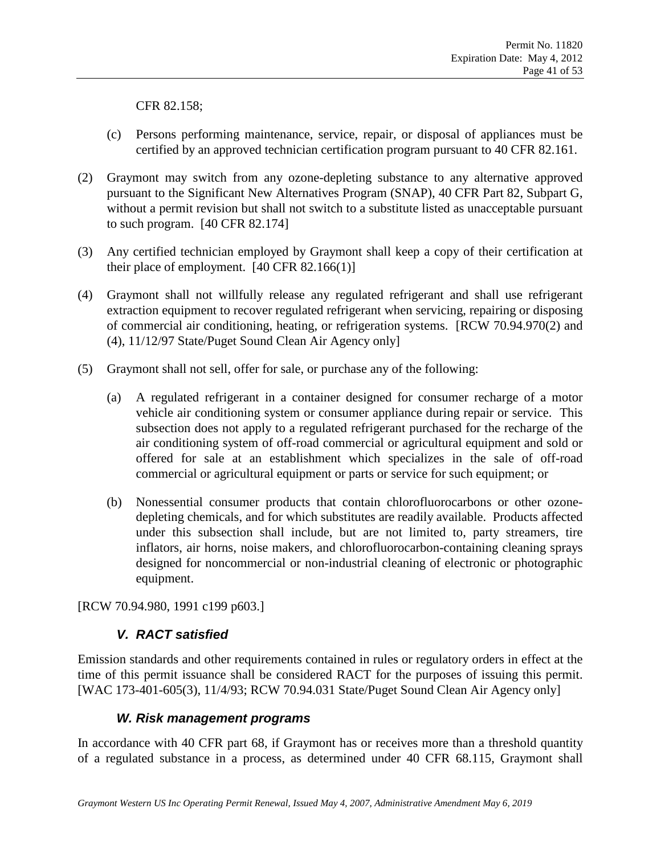CFR 82.158;

- (c) Persons performing maintenance, service, repair, or disposal of appliances must be certified by an approved technician certification program pursuant to 40 CFR 82.161.
- (2) Graymont may switch from any ozone-depleting substance to any alternative approved pursuant to the Significant New Alternatives Program (SNAP), 40 CFR Part 82, Subpart G, without a permit revision but shall not switch to a substitute listed as unacceptable pursuant to such program. [40 CFR 82.174]
- (3) Any certified technician employed by Graymont shall keep a copy of their certification at their place of employment. [40 CFR 82.166(1)]
- (4) Graymont shall not willfully release any regulated refrigerant and shall use refrigerant extraction equipment to recover regulated refrigerant when servicing, repairing or disposing of commercial air conditioning, heating, or refrigeration systems. [RCW 70.94.970(2) and (4), 11/12/97 State/Puget Sound Clean Air Agency only]
- (5) Graymont shall not sell, offer for sale, or purchase any of the following:
	- (a) A regulated refrigerant in a container designed for consumer recharge of a motor vehicle air conditioning system or consumer appliance during repair or service. This subsection does not apply to a regulated refrigerant purchased for the recharge of the air conditioning system of off-road commercial or agricultural equipment and sold or offered for sale at an establishment which specializes in the sale of off-road commercial or agricultural equipment or parts or service for such equipment; or
	- (b) Nonessential consumer products that contain chlorofluorocarbons or other ozonedepleting chemicals, and for which substitutes are readily available. Products affected under this subsection shall include, but are not limited to, party streamers, tire inflators, air horns, noise makers, and chlorofluorocarbon-containing cleaning sprays designed for noncommercial or non-industrial cleaning of electronic or photographic equipment.

[RCW 70.94.980, 1991 c199 p603.]

#### *V. RACT satisfied*

Emission standards and other requirements contained in rules or regulatory orders in effect at the time of this permit issuance shall be considered RACT for the purposes of issuing this permit. [WAC 173-401-605(3), 11/4/93; RCW 70.94.031 State/Puget Sound Clean Air Agency only]

#### *W. Risk management programs*

In accordance with 40 CFR part 68, if Graymont has or receives more than a threshold quantity of a regulated substance in a process, as determined under 40 CFR 68.115, Graymont shall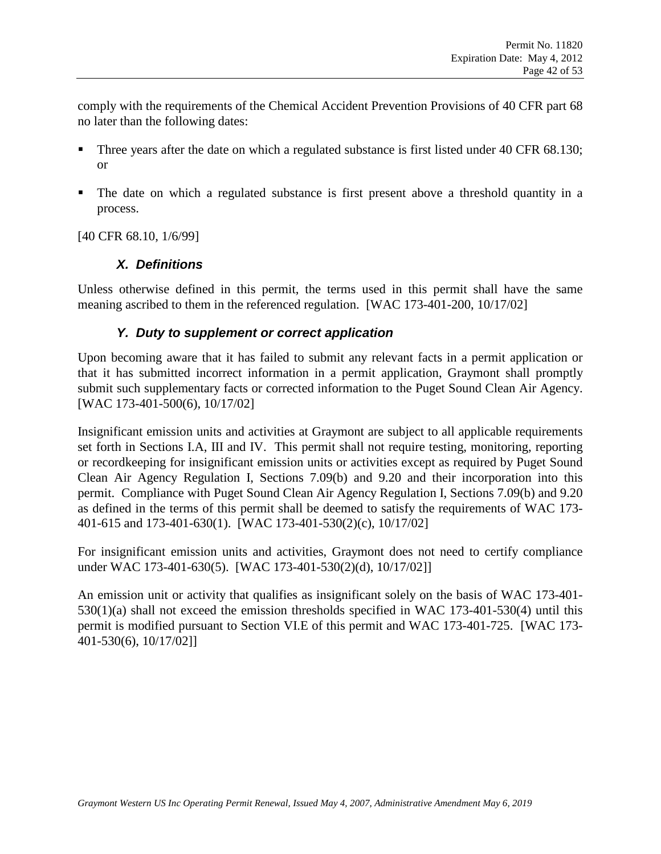comply with the requirements of the Chemical Accident Prevention Provisions of 40 CFR part 68 no later than the following dates:

- Three years after the date on which a regulated substance is first listed under 40 CFR 68.130; or
- The date on which a regulated substance is first present above a threshold quantity in a process.

[40 CFR 68.10, 1/6/99]

#### *X. Definitions*

Unless otherwise defined in this permit, the terms used in this permit shall have the same meaning ascribed to them in the referenced regulation. [WAC 173-401-200, 10/17/02]

#### *Y. Duty to supplement or correct application*

Upon becoming aware that it has failed to submit any relevant facts in a permit application or that it has submitted incorrect information in a permit application, Graymont shall promptly submit such supplementary facts or corrected information to the Puget Sound Clean Air Agency. [WAC 173-401-500(6), 10/17/02]

Insignificant emission units and activities at Graymont are subject to all applicable requirements set forth in Sections I.A, III and IV. This permit shall not require testing, monitoring, reporting or recordkeeping for insignificant emission units or activities except as required by Puget Sound Clean Air Agency Regulation I, Sections 7.09(b) and 9.20 and their incorporation into this permit. Compliance with Puget Sound Clean Air Agency Regulation I, Sections 7.09(b) and 9.20 as defined in the terms of this permit shall be deemed to satisfy the requirements of WAC 173- 401-615 and 173-401-630(1). [WAC 173-401-530(2)(c), 10/17/02]

For insignificant emission units and activities, Graymont does not need to certify compliance under WAC 173-401-630(5). [WAC 173-401-530(2)(d), 10/17/02]]

An emission unit or activity that qualifies as insignificant solely on the basis of WAC 173-401- 530(1)(a) shall not exceed the emission thresholds specified in WAC 173-401-530(4) until this permit is modified pursuant to Section VI.E of this permit and WAC 173-401-725. [WAC 173- 401-530(6), 10/17/02]]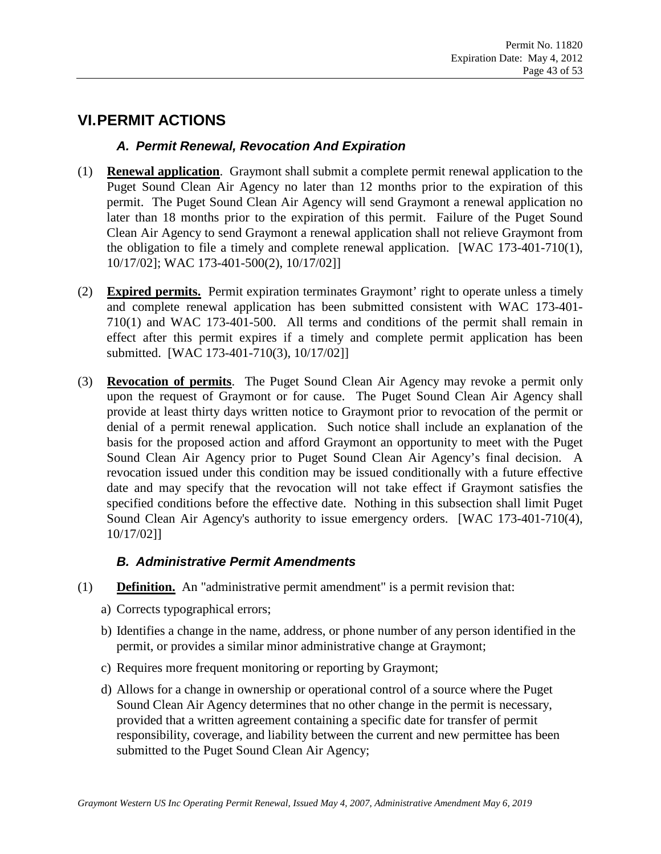# **VI.PERMIT ACTIONS**

#### *A. Permit Renewal, Revocation And Expiration*

- (1) **Renewal application**. Graymont shall submit a complete permit renewal application to the Puget Sound Clean Air Agency no later than 12 months prior to the expiration of this permit. The Puget Sound Clean Air Agency will send Graymont a renewal application no later than 18 months prior to the expiration of this permit. Failure of the Puget Sound Clean Air Agency to send Graymont a renewal application shall not relieve Graymont from the obligation to file a timely and complete renewal application. [WAC 173-401-710(1), 10/17/02]; WAC 173-401-500(2), 10/17/02]]
- (2) **Expired permits.** Permit expiration terminates Graymont' right to operate unless a timely and complete renewal application has been submitted consistent with WAC 173-401- 710(1) and WAC 173-401-500. All terms and conditions of the permit shall remain in effect after this permit expires if a timely and complete permit application has been submitted. [WAC 173-401-710(3), 10/17/02]]
- (3) **Revocation of permits**. The Puget Sound Clean Air Agency may revoke a permit only upon the request of Graymont or for cause. The Puget Sound Clean Air Agency shall provide at least thirty days written notice to Graymont prior to revocation of the permit or denial of a permit renewal application. Such notice shall include an explanation of the basis for the proposed action and afford Graymont an opportunity to meet with the Puget Sound Clean Air Agency prior to Puget Sound Clean Air Agency's final decision. A revocation issued under this condition may be issued conditionally with a future effective date and may specify that the revocation will not take effect if Graymont satisfies the specified conditions before the effective date. Nothing in this subsection shall limit Puget Sound Clean Air Agency's authority to issue emergency orders. [WAC 173-401-710(4), 10/17/02]]

### *B. Administrative Permit Amendments*

- (1) **Definition.** An "administrative permit amendment" is a permit revision that:
	- a) Corrects typographical errors;
	- b) Identifies a change in the name, address, or phone number of any person identified in the permit, or provides a similar minor administrative change at Graymont;
	- c) Requires more frequent monitoring or reporting by Graymont;
	- d) Allows for a change in ownership or operational control of a source where the Puget Sound Clean Air Agency determines that no other change in the permit is necessary, provided that a written agreement containing a specific date for transfer of permit responsibility, coverage, and liability between the current and new permittee has been submitted to the Puget Sound Clean Air Agency;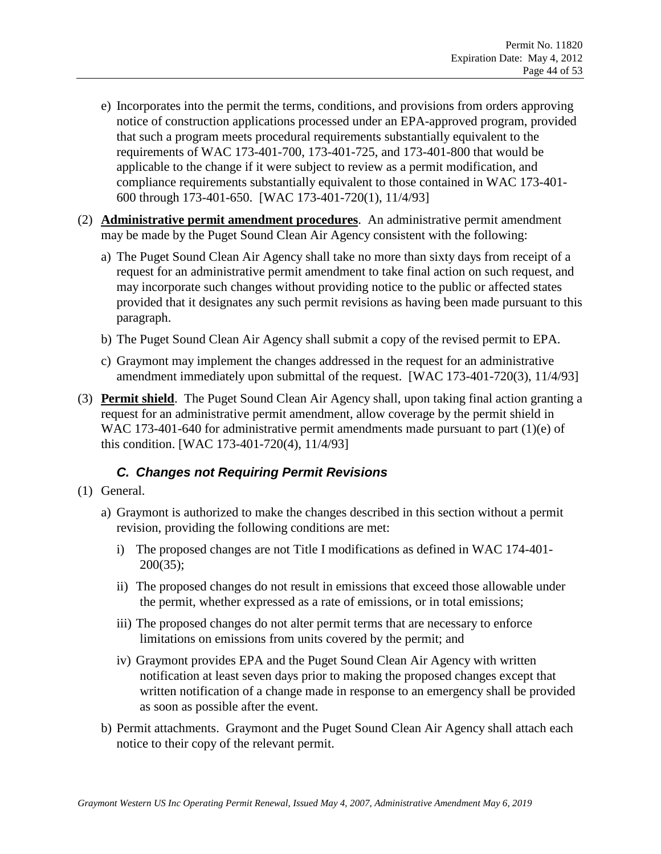- e) Incorporates into the permit the terms, conditions, and provisions from orders approving notice of construction applications processed under an EPA-approved program, provided that such a program meets procedural requirements substantially equivalent to the requirements of WAC 173-401-700, 173-401-725, and 173-401-800 that would be applicable to the change if it were subject to review as a permit modification, and compliance requirements substantially equivalent to those contained in WAC 173-401- 600 through 173-401-650. [WAC 173-401-720(1), 11/4/93]
- (2) **Administrative permit amendment procedures**. An administrative permit amendment may be made by the Puget Sound Clean Air Agency consistent with the following:
	- a) The Puget Sound Clean Air Agency shall take no more than sixty days from receipt of a request for an administrative permit amendment to take final action on such request, and may incorporate such changes without providing notice to the public or affected states provided that it designates any such permit revisions as having been made pursuant to this paragraph.
	- b) The Puget Sound Clean Air Agency shall submit a copy of the revised permit to EPA.
	- c) Graymont may implement the changes addressed in the request for an administrative amendment immediately upon submittal of the request. [WAC 173-401-720(3), 11/4/93]
- (3) **Permit shield**. The Puget Sound Clean Air Agency shall, upon taking final action granting a request for an administrative permit amendment, allow coverage by the permit shield in WAC 173-401-640 for administrative permit amendments made pursuant to part (1)(e) of this condition. [WAC 173-401-720(4), 11/4/93]

### *C. Changes not Requiring Permit Revisions*

- (1) General.
	- a) Graymont is authorized to make the changes described in this section without a permit revision, providing the following conditions are met:
		- i) The proposed changes are not Title I modifications as defined in WAC 174-401- 200(35);
		- ii) The proposed changes do not result in emissions that exceed those allowable under the permit, whether expressed as a rate of emissions, or in total emissions;
		- iii) The proposed changes do not alter permit terms that are necessary to enforce limitations on emissions from units covered by the permit; and
		- iv) Graymont provides EPA and the Puget Sound Clean Air Agency with written notification at least seven days prior to making the proposed changes except that written notification of a change made in response to an emergency shall be provided as soon as possible after the event.
	- b) Permit attachments. Graymont and the Puget Sound Clean Air Agency shall attach each notice to their copy of the relevant permit.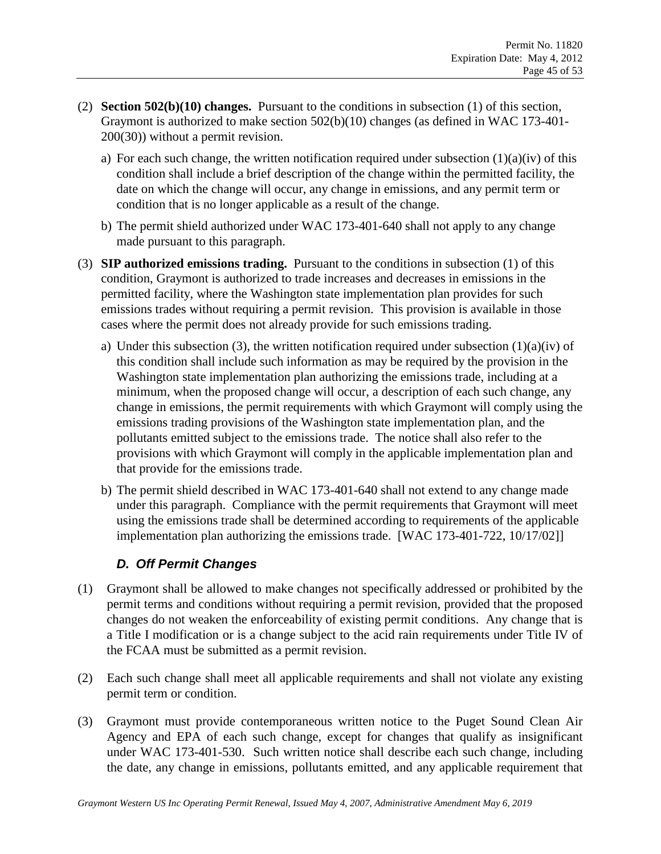- (2) **Section 502(b)(10) changes.** Pursuant to the conditions in subsection (1) of this section, Graymont is authorized to make section 502(b)(10) changes (as defined in WAC 173-401- 200(30)) without a permit revision.
	- a) For each such change, the written notification required under subsection  $(1)(a)(iv)$  of this condition shall include a brief description of the change within the permitted facility, the date on which the change will occur, any change in emissions, and any permit term or condition that is no longer applicable as a result of the change.
	- b) The permit shield authorized under WAC 173-401-640 shall not apply to any change made pursuant to this paragraph.
- (3) **SIP authorized emissions trading.** Pursuant to the conditions in subsection (1) of this condition, Graymont is authorized to trade increases and decreases in emissions in the permitted facility, where the Washington state implementation plan provides for such emissions trades without requiring a permit revision. This provision is available in those cases where the permit does not already provide for such emissions trading.
	- a) Under this subsection (3), the written notification required under subsection  $(1)(a)(iv)$  of this condition shall include such information as may be required by the provision in the Washington state implementation plan authorizing the emissions trade, including at a minimum, when the proposed change will occur, a description of each such change, any change in emissions, the permit requirements with which Graymont will comply using the emissions trading provisions of the Washington state implementation plan, and the pollutants emitted subject to the emissions trade. The notice shall also refer to the provisions with which Graymont will comply in the applicable implementation plan and that provide for the emissions trade.
	- b) The permit shield described in WAC 173-401-640 shall not extend to any change made under this paragraph. Compliance with the permit requirements that Graymont will meet using the emissions trade shall be determined according to requirements of the applicable implementation plan authorizing the emissions trade. [WAC 173-401-722, 10/17/02]]

### *D. Off Permit Changes*

- (1) Graymont shall be allowed to make changes not specifically addressed or prohibited by the permit terms and conditions without requiring a permit revision, provided that the proposed changes do not weaken the enforceability of existing permit conditions. Any change that is a Title I modification or is a change subject to the acid rain requirements under Title IV of the FCAA must be submitted as a permit revision.
- (2) Each such change shall meet all applicable requirements and shall not violate any existing permit term or condition.
- (3) Graymont must provide contemporaneous written notice to the Puget Sound Clean Air Agency and EPA of each such change, except for changes that qualify as insignificant under WAC 173-401-530. Such written notice shall describe each such change, including the date, any change in emissions, pollutants emitted, and any applicable requirement that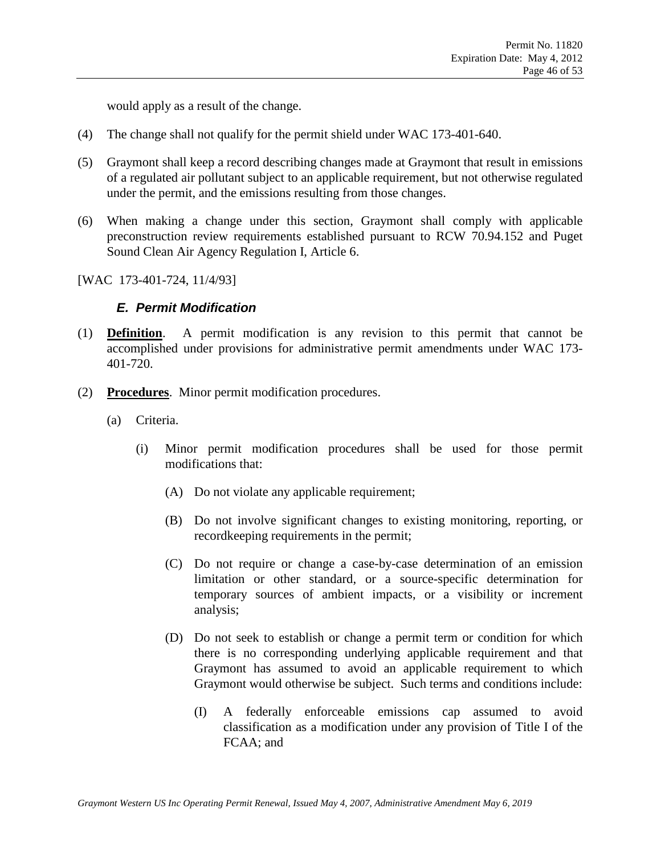would apply as a result of the change.

- (4) The change shall not qualify for the permit shield under WAC 173-401-640.
- (5) Graymont shall keep a record describing changes made at Graymont that result in emissions of a regulated air pollutant subject to an applicable requirement, but not otherwise regulated under the permit, and the emissions resulting from those changes.
- (6) When making a change under this section, Graymont shall comply with applicable preconstruction review requirements established pursuant to RCW 70.94.152 and Puget Sound Clean Air Agency Regulation I, Article 6.

[WAC 173-401-724, 11/4/93]

#### *E. Permit Modification*

- (1) **Definition**. A permit modification is any revision to this permit that cannot be accomplished under provisions for administrative permit amendments under WAC 173- 401-720.
- (2) **Procedures**. Minor permit modification procedures.
	- (a) Criteria.
		- (i) Minor permit modification procedures shall be used for those permit modifications that:
			- (A) Do not violate any applicable requirement;
			- (B) Do not involve significant changes to existing monitoring, reporting, or recordkeeping requirements in the permit;
			- (C) Do not require or change a case-by-case determination of an emission limitation or other standard, or a source-specific determination for temporary sources of ambient impacts, or a visibility or increment analysis;
			- (D) Do not seek to establish or change a permit term or condition for which there is no corresponding underlying applicable requirement and that Graymont has assumed to avoid an applicable requirement to which Graymont would otherwise be subject. Such terms and conditions include:
				- (I) A federally enforceable emissions cap assumed to avoid classification as a modification under any provision of Title I of the FCAA; and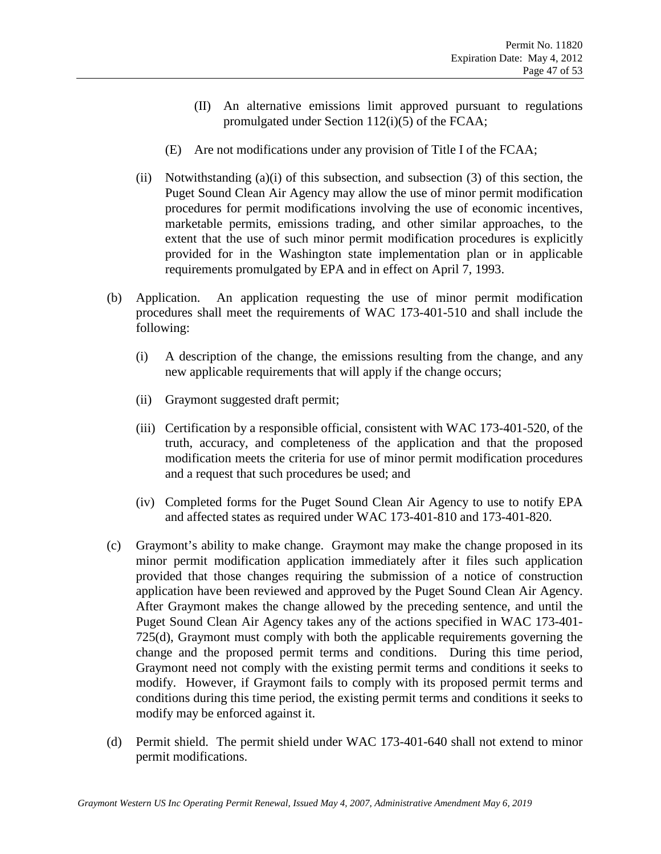- (II) An alternative emissions limit approved pursuant to regulations promulgated under Section 112(i)(5) of the FCAA;
- (E) Are not modifications under any provision of Title I of the FCAA;
- (ii) Notwithstanding  $(a)(i)$  of this subsection, and subsection  $(3)$  of this section, the Puget Sound Clean Air Agency may allow the use of minor permit modification procedures for permit modifications involving the use of economic incentives, marketable permits, emissions trading, and other similar approaches, to the extent that the use of such minor permit modification procedures is explicitly provided for in the Washington state implementation plan or in applicable requirements promulgated by EPA and in effect on April 7, 1993.
- (b) Application. An application requesting the use of minor permit modification procedures shall meet the requirements of WAC 173-401-510 and shall include the following:
	- (i) A description of the change, the emissions resulting from the change, and any new applicable requirements that will apply if the change occurs;
	- (ii) Graymont suggested draft permit;
	- (iii) Certification by a responsible official, consistent with WAC 173-401-520, of the truth, accuracy, and completeness of the application and that the proposed modification meets the criteria for use of minor permit modification procedures and a request that such procedures be used; and
	- (iv) Completed forms for the Puget Sound Clean Air Agency to use to notify EPA and affected states as required under WAC 173-401-810 and 173-401-820.
- (c) Graymont's ability to make change. Graymont may make the change proposed in its minor permit modification application immediately after it files such application provided that those changes requiring the submission of a notice of construction application have been reviewed and approved by the Puget Sound Clean Air Agency. After Graymont makes the change allowed by the preceding sentence, and until the Puget Sound Clean Air Agency takes any of the actions specified in WAC 173-401- 725(d), Graymont must comply with both the applicable requirements governing the change and the proposed permit terms and conditions. During this time period, Graymont need not comply with the existing permit terms and conditions it seeks to modify. However, if Graymont fails to comply with its proposed permit terms and conditions during this time period, the existing permit terms and conditions it seeks to modify may be enforced against it.
- (d) Permit shield. The permit shield under WAC 173-401-640 shall not extend to minor permit modifications.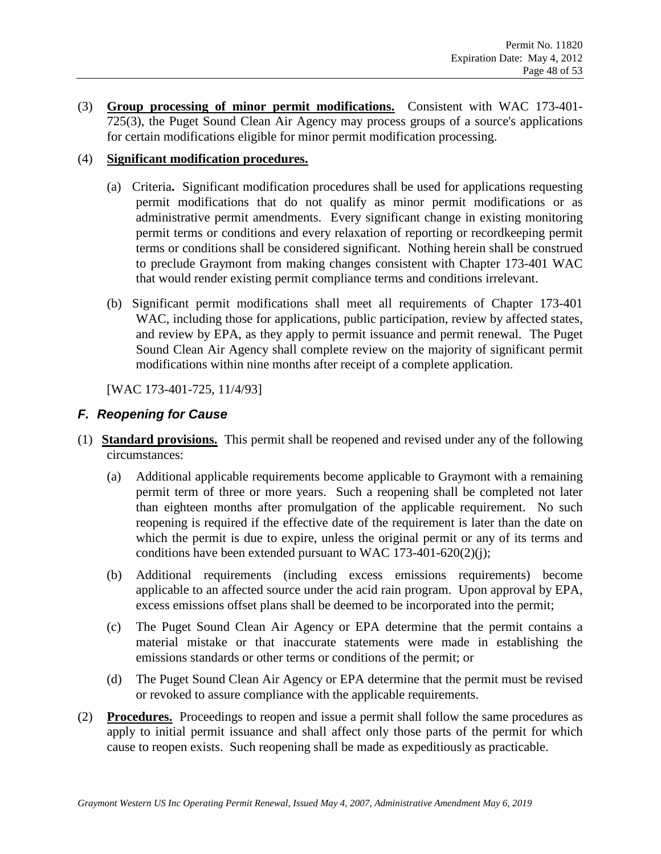(3) **Group processing of minor permit modifications.** Consistent with WAC 173-401- 725(3), the Puget Sound Clean Air Agency may process groups of a source's applications for certain modifications eligible for minor permit modification processing.

#### (4) **Significant modification procedures.**

- (a) Criteria**.** Significant modification procedures shall be used for applications requesting permit modifications that do not qualify as minor permit modifications or as administrative permit amendments. Every significant change in existing monitoring permit terms or conditions and every relaxation of reporting or recordkeeping permit terms or conditions shall be considered significant. Nothing herein shall be construed to preclude Graymont from making changes consistent with Chapter 173-401 WAC that would render existing permit compliance terms and conditions irrelevant.
- (b) Significant permit modifications shall meet all requirements of Chapter 173-401 WAC, including those for applications, public participation, review by affected states, and review by EPA, as they apply to permit issuance and permit renewal. The Puget Sound Clean Air Agency shall complete review on the majority of significant permit modifications within nine months after receipt of a complete application.

[WAC 173-401-725, 11/4/93]

#### *F. Reopening for Cause*

- (1) **Standard provisions.** This permit shall be reopened and revised under any of the following circumstances:
	- (a) Additional applicable requirements become applicable to Graymont with a remaining permit term of three or more years. Such a reopening shall be completed not later than eighteen months after promulgation of the applicable requirement. No such reopening is required if the effective date of the requirement is later than the date on which the permit is due to expire, unless the original permit or any of its terms and conditions have been extended pursuant to WAC 173-401-620(2)(j);
	- (b) Additional requirements (including excess emissions requirements) become applicable to an affected source under the acid rain program. Upon approval by EPA, excess emissions offset plans shall be deemed to be incorporated into the permit;
	- (c) The Puget Sound Clean Air Agency or EPA determine that the permit contains a material mistake or that inaccurate statements were made in establishing the emissions standards or other terms or conditions of the permit; or
	- (d) The Puget Sound Clean Air Agency or EPA determine that the permit must be revised or revoked to assure compliance with the applicable requirements.
- (2) **Procedures.** Proceedings to reopen and issue a permit shall follow the same procedures as apply to initial permit issuance and shall affect only those parts of the permit for which cause to reopen exists. Such reopening shall be made as expeditiously as practicable.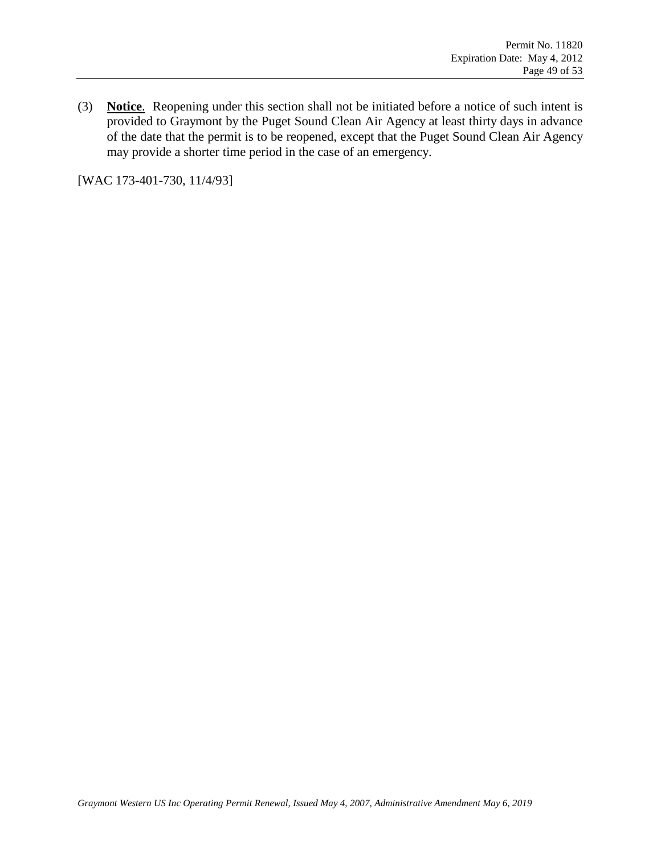(3) **Notice**. Reopening under this section shall not be initiated before a notice of such intent is provided to Graymont by the Puget Sound Clean Air Agency at least thirty days in advance of the date that the permit is to be reopened, except that the Puget Sound Clean Air Agency may provide a shorter time period in the case of an emergency.

[WAC 173-401-730, 11/4/93]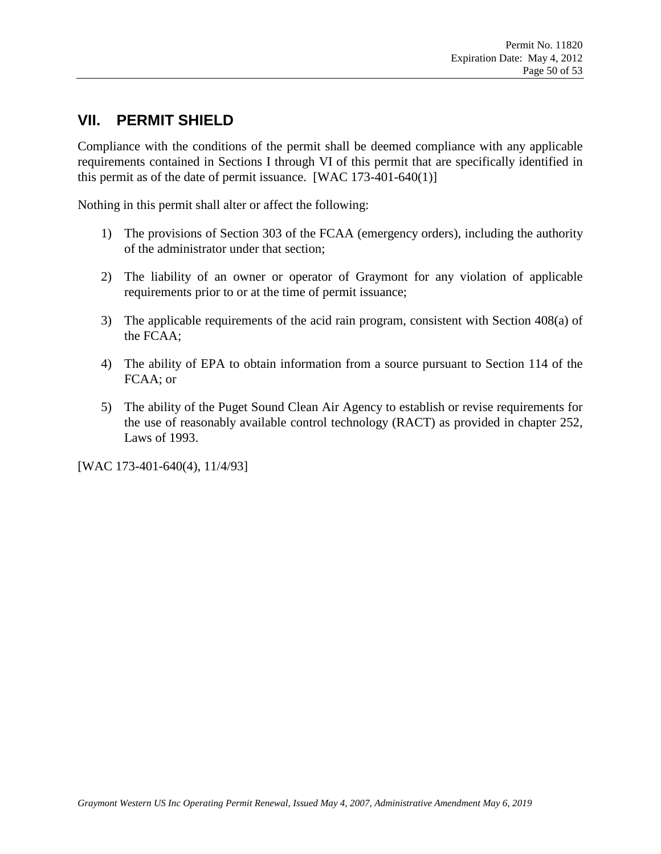## **VII. PERMIT SHIELD**

Compliance with the conditions of the permit shall be deemed compliance with any applicable requirements contained in Sections I through VI of this permit that are specifically identified in this permit as of the date of permit issuance. [WAC 173-401-640(1)]

Nothing in this permit shall alter or affect the following:

- 1) The provisions of Section 303 of the FCAA (emergency orders), including the authority of the administrator under that section;
- 2) The liability of an owner or operator of Graymont for any violation of applicable requirements prior to or at the time of permit issuance;
- 3) The applicable requirements of the acid rain program, consistent with Section 408(a) of the FCAA;
- 4) The ability of EPA to obtain information from a source pursuant to Section 114 of the FCAA; or
- 5) The ability of the Puget Sound Clean Air Agency to establish or revise requirements for the use of reasonably available control technology (RACT) as provided in chapter 252, Laws of 1993.

[WAC 173-401-640(4), 11/4/93]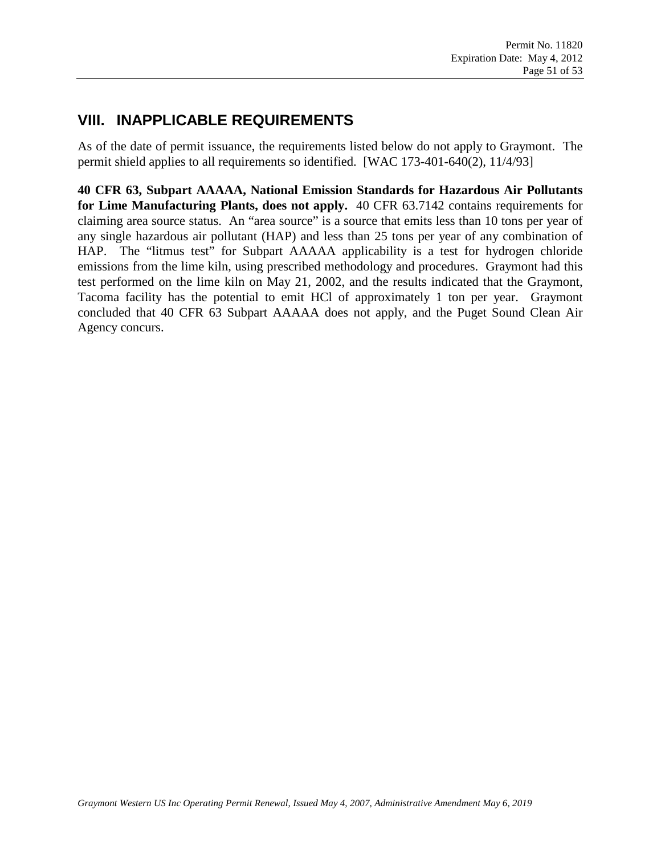# **VIII. INAPPLICABLE REQUIREMENTS**

As of the date of permit issuance, the requirements listed below do not apply to Graymont. The permit shield applies to all requirements so identified. [WAC 173-401-640(2), 11/4/93]

**40 CFR 63, Subpart AAAAA, National Emission Standards for Hazardous Air Pollutants for Lime Manufacturing Plants, does not apply.** 40 CFR 63.7142 contains requirements for claiming area source status. An "area source" is a source that emits less than 10 tons per year of any single hazardous air pollutant (HAP) and less than 25 tons per year of any combination of HAP. The "litmus test" for Subpart AAAAA applicability is a test for hydrogen chloride emissions from the lime kiln, using prescribed methodology and procedures. Graymont had this test performed on the lime kiln on May 21, 2002, and the results indicated that the Graymont, Tacoma facility has the potential to emit HCl of approximately 1 ton per year. Graymont concluded that 40 CFR 63 Subpart AAAAA does not apply, and the Puget Sound Clean Air Agency concurs.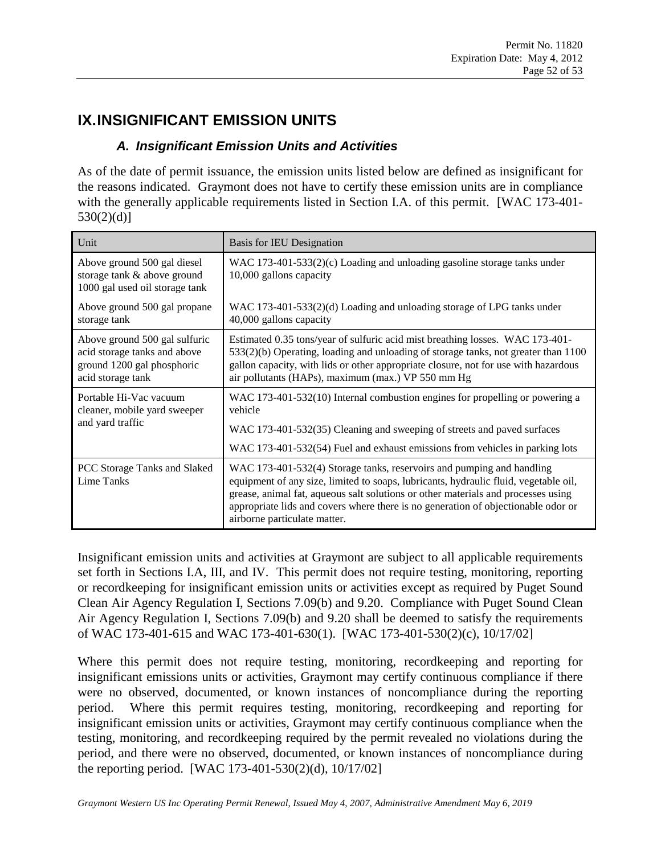# **IX.INSIGNIFICANT EMISSION UNITS**

### *A. Insignificant Emission Units and Activities*

As of the date of permit issuance, the emission units listed below are defined as insignificant for the reasons indicated. Graymont does not have to certify these emission units are in compliance with the generally applicable requirements listed in Section I.A. of this permit. [WAC 173-401-530(2)(d)]

| Unit                                                                                                             | <b>Basis for IEU Designation</b>                                                                                                                                                                                                                                                                                                                                        |
|------------------------------------------------------------------------------------------------------------------|-------------------------------------------------------------------------------------------------------------------------------------------------------------------------------------------------------------------------------------------------------------------------------------------------------------------------------------------------------------------------|
| Above ground 500 gal diesel<br>storage tank & above ground<br>1000 gal used oil storage tank                     | WAC 173-401-533(2)(c) Loading and unloading gasoline storage tanks under<br>10,000 gallons capacity                                                                                                                                                                                                                                                                     |
| Above ground 500 gal propane<br>storage tank                                                                     | WAC 173-401-533(2)(d) Loading and unloading storage of LPG tanks under<br>40,000 gallons capacity                                                                                                                                                                                                                                                                       |
| Above ground 500 gal sulfuric<br>acid storage tanks and above<br>ground 1200 gal phosphoric<br>acid storage tank | Estimated 0.35 tons/year of sulfuric acid mist breathing losses. WAC 173-401-<br>$533(2)(b)$ Operating, loading and unloading of storage tanks, not greater than 1100<br>gallon capacity, with lids or other appropriate closure, not for use with hazardous<br>air pollutants (HAPs), maximum (max.) VP 550 mm Hg                                                      |
| Portable Hi-Vac vacuum<br>cleaner, mobile yard sweeper<br>and yard traffic                                       | WAC 173-401-532(10) Internal combustion engines for propelling or powering a<br>vehicle                                                                                                                                                                                                                                                                                 |
|                                                                                                                  | WAC 173-401-532(35) Cleaning and sweeping of streets and paved surfaces                                                                                                                                                                                                                                                                                                 |
|                                                                                                                  | WAC 173-401-532(54) Fuel and exhaust emissions from vehicles in parking lots                                                                                                                                                                                                                                                                                            |
| PCC Storage Tanks and Slaked<br>Lime Tanks                                                                       | WAC 173-401-532(4) Storage tanks, reservoirs and pumping and handling<br>equipment of any size, limited to soaps, lubricants, hydraulic fluid, vegetable oil,<br>grease, animal fat, aqueous salt solutions or other materials and processes using<br>appropriate lids and covers where there is no generation of objectionable odor or<br>airborne particulate matter. |

Insignificant emission units and activities at Graymont are subject to all applicable requirements set forth in Sections I.A, III, and IV. This permit does not require testing, monitoring, reporting or recordkeeping for insignificant emission units or activities except as required by Puget Sound Clean Air Agency Regulation I, Sections 7.09(b) and 9.20. Compliance with Puget Sound Clean Air Agency Regulation I, Sections 7.09(b) and 9.20 shall be deemed to satisfy the requirements of WAC 173-401-615 and WAC 173-401-630(1). [WAC 173-401-530(2)(c), 10/17/02]

Where this permit does not require testing, monitoring, recordkeeping and reporting for insignificant emissions units or activities, Graymont may certify continuous compliance if there were no observed, documented, or known instances of noncompliance during the reporting period. Where this permit requires testing, monitoring, recordkeeping and reporting for insignificant emission units or activities, Graymont may certify continuous compliance when the testing, monitoring, and recordkeeping required by the permit revealed no violations during the period, and there were no observed, documented, or known instances of noncompliance during the reporting period. [WAC 173-401-530(2)(d), 10/17/02]